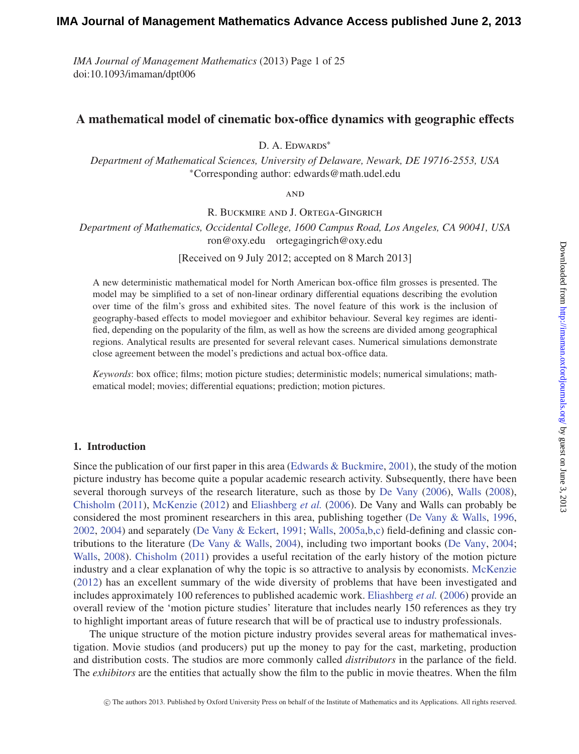*IMA Journal of Management Mathematics* (2013) Page 1 of 25 doi:10.1093/imaman/dpt006

# **A mathematical model of cinematic box-office dynamics with geographic effects**

D. A. EDWARDS<sup>\*</sup>

*Department of Mathematical Sciences, University of Delaware, Newark, DE 19716-2553, USA* <sup>∗</sup>Corresponding author: edwards@math.udel.edu

**AND** 

R. Buckmire and J. Ortega-Gingrich

*Department of Mathematics, Occidental College, 1600 Campus Road, Los Angeles, CA 90041, USA* ron@oxy.edu ortegagingrich@oxy.edu

[Received on 9 July 2012; accepted on 8 March 2013]

A new deterministic mathematical model for North American box-office film grosses is presented. The model may be simplified to a set of non-linear ordinary differential equations describing the evolution over time of the film's gross and exhibited sites. The novel feature of this work is the inclusion of geography-based effects to model moviegoer and exhibitor behaviour. Several key regimes are identified, depending on the popularity of the film, as well as how the screens are divided among geographical regions. Analytical results are presented for several relevant cases. Numerical simulations demonstrate close agreement between the model's predictions and actual box-office data.

*Keywords*: box office; films; motion picture studies; deterministic models; numerical simulations; mathematical model; movies; differential equations; prediction; motion pictures.

### **1. Introduction**

Since the publication of our first paper in this area [\(Edwards & Buckmire](#page-23-0), [2001\)](#page-23-0), the study of the motion picture industry has become quite a popular academic research activity. Subsequently, there have been several thorough surveys of the research literature, such as those by [De Vany](#page-22-0) [\(2006\)](#page-22-0), [Walls](#page-24-0) [\(2008\)](#page-24-0), [Chisholm](#page-22-1) [\(2011](#page-22-1)), [McKenzie](#page-23-1) [\(2012\)](#page-23-1) and [Eliashberg](#page-23-2) *et al.* [\(2006](#page-23-2)). De Vany and Walls can probably be considered the most prominent researchers in this area, publishing together [\(De Vany & Walls](#page-23-3), [1996,](#page-23-3) [2002,](#page-23-4) [2004\)](#page-23-5) and separately [\(De Vany & Eckert,](#page-22-2) [1991;](#page-22-2) [Walls,](#page-23-6) [2005a](#page-23-6)[,b](#page-24-1)[,c](#page-24-2)) field-defining and classic contributions to the literature [\(De Vany & Walls](#page-23-5), [2004\)](#page-23-5), including two important books [\(De Vany](#page-22-3), [2004;](#page-22-3) [Walls](#page-24-0), [2008](#page-24-0)). [Chisholm](#page-22-1) [\(2011](#page-22-1)) provides a useful recitation of the early history of the motion picture industry and a clear explanation of why the topic is so attractive to analysis by economists. [McKenzie](#page-23-1) [\(2012](#page-23-1)) has an excellent summary of the wide diversity of problems that have been investigated and includes approximately 100 references to published academic work. [Eliashberg](#page-23-2) *et al.* [\(2006\)](#page-23-2) provide an overall review of the 'motion picture studies' literature that includes nearly 150 references as they try to highlight important areas of future research that will be of practical use to industry professionals.

The unique structure of the motion picture industry provides several areas for mathematical investigation. Movie studios (and producers) put up the money to pay for the cast, marketing, production and distribution costs. The studios are more commonly called *distributors* in the parlance of the field. The *exhibitors* are the entities that actually show the film to the public in movie theatres. When the film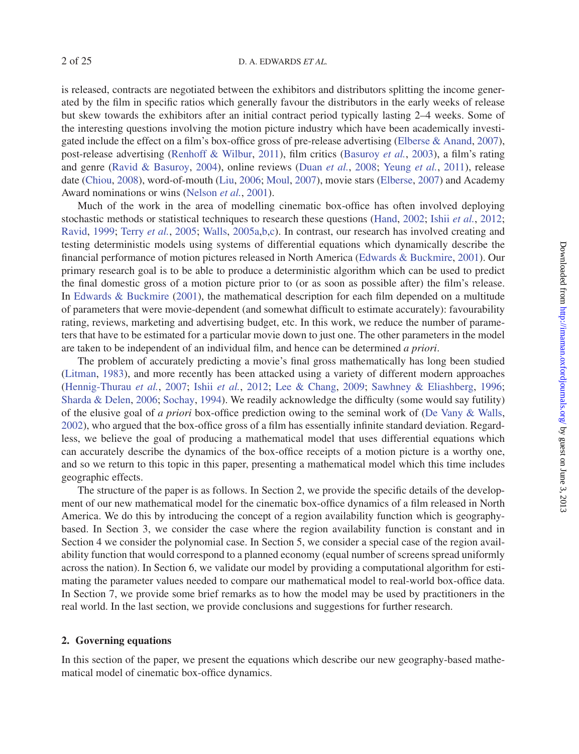is released, contracts are negotiated between the exhibitors and distributors splitting the income generated by the film in specific ratios which generally favour the distributors in the early weeks of release but skew towards the exhibitors after an initial contract period typically lasting 2–4 weeks. Some of the interesting questions involving the motion picture industry which have been academically investigated include the effect on a film's box-office gross of pre-release advertising [\(Elberse & Anand,](#page-23-7) [2007\)](#page-23-7), post-release advertising [\(Renhoff & Wilbur](#page-23-8), [2011\)](#page-23-8), film critics [\(Basuroy](#page-22-4) *et al.*, [2003](#page-22-4)), a film's rating and genre [\(Ravid & Basuroy](#page-23-9), [2004](#page-23-9)), online reviews [\(Duan](#page-23-10) *et al.*, [2008;](#page-23-10) [Yeung](#page-24-3) *et al.*, [2011](#page-24-3)), release date [\(Chiou,](#page-22-5) [2008](#page-22-5)), word-of-mouth [\(Liu,](#page-23-11) [2006;](#page-23-11) [Moul](#page-23-12), [2007\)](#page-23-12), movie stars [\(Elberse](#page-23-13), [2007\)](#page-23-13) and Academy Award nominations or wins [\(Nelson](#page-23-14) *et al.*, [2001](#page-23-14)).

Much of the work in the area of modelling cinematic box-office has often involved deploying stochastic methods or statistical techniques to research these questions [\(Hand,](#page-23-15) [2002](#page-23-15); Ishii *[et al.](#page-23-16)*, [2012;](#page-23-16) [Ravid,](#page-23-17) [1999](#page-23-17); [Terry](#page-23-18) *et al.*, [2005](#page-23-18); [Walls](#page-23-6), [2005a](#page-23-6)[,b](#page-24-1)[,c](#page-24-2)). In contrast, our research has involved creating and testing deterministic models using systems of differential equations which dynamically describe the financial performance of motion pictures released in North America [\(Edwards & Buckmire,](#page-23-0) [2001\)](#page-23-0). Our primary research goal is to be able to produce a deterministic algorithm which can be used to predict the final domestic gross of a motion picture prior to (or as soon as possible after) the film's release. In [Edwards & Buckmire](#page-23-0) [\(2001](#page-23-0)), the mathematical description for each film depended on a multitude of parameters that were movie-dependent (and somewhat difficult to estimate accurately): favourability rating, reviews, marketing and advertising budget, etc. In this work, we reduce the number of parameters that have to be estimated for a particular movie down to just one. The other parameters in the model are taken to be independent of an individual film, and hence can be determined *a priori*.

The problem of accurately predicting a movie's final gross mathematically has long been studied [\(Litman](#page-23-19), [1983\)](#page-23-19), and more recently has been attacked using a variety of different modern approaches [\(Hennig-Thurau](#page-23-20) *et al.*, [2007;](#page-23-20) Ishii *[et al.](#page-23-16)*, [2012](#page-23-16); [Lee & Chang](#page-23-21), [2009;](#page-23-21) [Sawhney & Eliashberg](#page-23-22), [1996;](#page-23-22) [Sharda & Delen,](#page-23-23) [2006;](#page-23-23) [Sochay](#page-23-24), [1994](#page-23-24)). We readily acknowledge the difficulty (some would say futility) of the elusive goal of *a priori* box-office prediction owing to the seminal work of [\(De Vany & Walls,](#page-23-4) [2002\)](#page-23-4), who argued that the box-office gross of a film has essentially infinite standard deviation. Regardless, we believe the goal of producing a mathematical model that uses differential equations which can accurately describe the dynamics of the box-office receipts of a motion picture is a worthy one, and so we return to this topic in this paper, presenting a mathematical model which this time includes geographic effects.

The structure of the paper is as follows. In Section 2, we provide the specific details of the development of our new mathematical model for the cinematic box-office dynamics of a film released in North America. We do this by introducing the concept of a region availability function which is geographybased. In Section 3, we consider the case where the region availability function is constant and in Section 4 we consider the polynomial case. In Section 5, we consider a special case of the region availability function that would correspond to a planned economy (equal number of screens spread uniformly across the nation). In Section 6, we validate our model by providing a computational algorithm for estimating the parameter values needed to compare our mathematical model to real-world box-office data. In Section 7, we provide some brief remarks as to how the model may be used by practitioners in the real world. In the last section, we provide conclusions and suggestions for further research.

### **2. Governing equations**

In this section of the paper, we present the equations which describe our new geography-based mathematical model of cinematic box-office dynamics.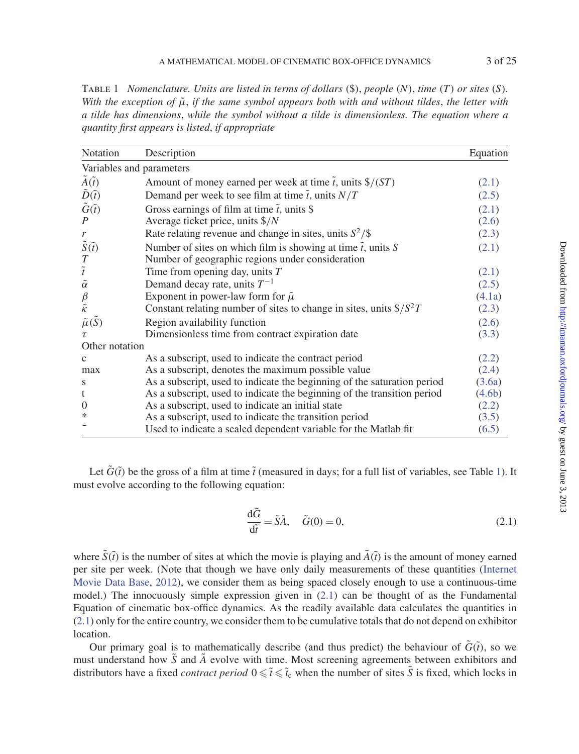<span id="page-2-1"></span>Table 1 *Nomenclature. Units are listed in terms of dollars* (\$), *people* (*N*), *time* (*T*) *or sites* (*S*)*. With the exception of*  $\tilde{\mu}$ , *if the same symbol appears both with and without tildes, the letter with a tilde has dimensions*, *while the symbol without a tilde is dimensionless. The equation where a quantity first appears is listed*, *if appropriate*

| Notation                                      | Description                                                                               | Equation |
|-----------------------------------------------|-------------------------------------------------------------------------------------------|----------|
|                                               | Variables and parameters                                                                  |          |
| $\tilde{A}(\tilde{t})$                        | Amount of money earned per week at time $\tilde{t}$ , units $\frac{\tilde{s}}{\sqrt{ST}}$ | (2.1)    |
|                                               | Demand per week to see film at time $\tilde{t}$ , units $N/T$                             | (2.5)    |
| $\tilde{D}(\tilde{t})$ $\tilde{G}(\tilde{t})$ | Gross earnings of film at time $\tilde{t}$ , units \$                                     | (2.1)    |
| $\boldsymbol{P}$                              | Average ticket price, units $\frac{8}{N}$                                                 | (2.6)    |
| $\mathfrak{r}$                                | Rate relating revenue and change in sites, units $S^2/\$$                                 | (2.3)    |
| $\tilde{S}(\tilde{t})$                        | Number of sites on which film is showing at time $\tilde{t}$ , units S                    | (2.1)    |
| $\frac{T}{\tilde{t}}$                         | Number of geographic regions under consideration                                          |          |
|                                               | Time from opening day, units $T$                                                          | (2.1)    |
| $\tilde{\alpha}$                              | Demand decay rate, units $T^{-1}$                                                         | (2.5)    |
| $\frac{\beta}{\tilde{\kappa}}$                | Exponent in power-law form for $\tilde{\mu}$                                              | (4.1a)   |
|                                               | Constant relating number of sites to change in sites, units $\frac{\sqrt{S^2T}}{T}$       | (2.3)    |
| $\tilde{\mu}(S)$                              | Region availability function                                                              | (2.6)    |
|                                               | Dimensionless time from contract expiration date                                          | (3.3)    |
| Other notation                                |                                                                                           |          |
| $\mathbf{c}$                                  | As a subscript, used to indicate the contract period                                      | (2.2)    |
| max                                           | As a subscript, denotes the maximum possible value                                        | (2.4)    |
| S                                             | As a subscript, used to indicate the beginning of the saturation period                   | (3.6a)   |
| t                                             | As a subscript, used to indicate the beginning of the transition period                   | (4.6b)   |
| $\boldsymbol{0}$                              | As a subscript, used to indicate an initial state                                         | (2.2)    |
| ∗                                             | As a subscript, used to indicate the transition period                                    | (3.5)    |
|                                               | Used to indicate a scaled dependent variable for the Matlab fit                           | (6.5)    |

Let  $\tilde{G}(\tilde{t})$  be the gross of a film at time  $\tilde{t}$  (measured in days; for a full list of variables, see Table [1\)](#page-2-1). It must evolve according to the following equation:

<span id="page-2-0"></span>
$$
\frac{\mathrm{d}\tilde{G}}{\mathrm{d}\tilde{t}} = \tilde{S}\tilde{A}, \quad \tilde{G}(0) = 0,
$$
\n(2.1)

where  $\tilde{S}(\tilde{t})$  is the number of sites at which the movie is playing and  $\tilde{A}(\tilde{t})$  is the amount of money earned per site per wee[k.](#page-23-25) [\(Note](#page-23-25) [that](#page-23-25) [though](#page-23-25) [we](#page-23-25) [have](#page-23-25) [only](#page-23-25) [daily](#page-23-25) [measurements](#page-23-25) [of](#page-23-25) [these](#page-23-25) [quantities](#page-23-25) [\(](#page-23-25)Internet Movie Data Base, [2012\)](#page-23-25), we consider them as being spaced closely enough to use a continuous-time model.) The innocuously simple expression given in  $(2.1)$  can be thought of as the Fundamental Equation of cinematic box-office dynamics. As the readily available data calculates the quantities in [\(2.1\)](#page-2-0) only for the entire country, we consider them to be cumulative totals that do not depend on exhibitor location.

Our primary goal is to mathematically describe (and thus predict) the behaviour of  $\tilde{G}(t)$ , so we must understand how  $\tilde{S}$  and  $\tilde{A}$  evolve with time. Most screening agreements between exhibitors and distributors have a fixed *contract period*  $0 \le \tilde{t} \le \tilde{t}_c$  when the number of sites  $\tilde{S}$  is fixed, which locks in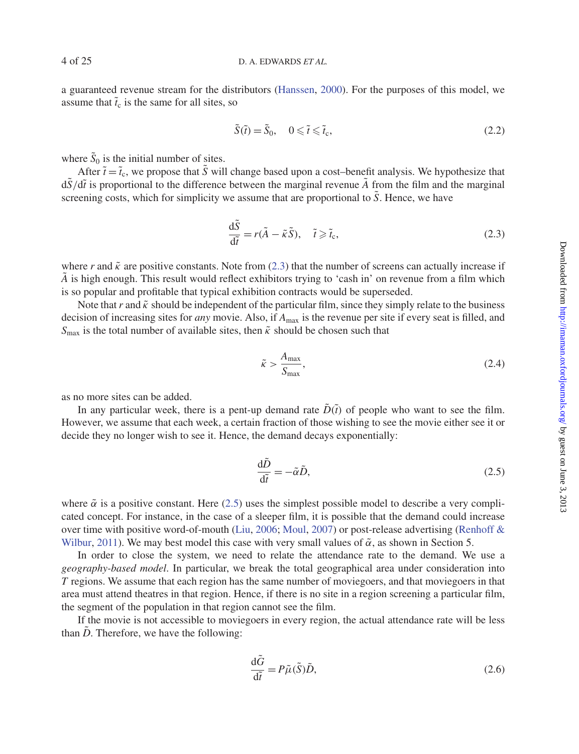a guaranteed revenue stream for the distributors [\(Hanssen](#page-23-26), [2000\)](#page-23-26). For the purposes of this model, we assume that  $\tilde{t}_c$  is the same for all sites, so

<span id="page-3-3"></span>
$$
\tilde{S}(\tilde{t}) = \tilde{S}_0, \quad 0 \leq \tilde{t} \leq \tilde{t}_c,\tag{2.2}
$$

where  $\tilde{S}_0$  is the initial number of sites.

After  $\tilde{t} = \tilde{t}_c$ , we propose that  $\tilde{S}$  will change based upon a cost–benefit analysis. We hypothesize that  $d\tilde{S}/d\tilde{t}$  is proportional to the difference between the marginal revenue  $\tilde{A}$  from the film and the marginal screening costs, which for simplicity we assume that are proportional to  $\tilde{S}$ . Hence, we have

<span id="page-3-2"></span>
$$
\frac{d\tilde{S}}{d\tilde{t}} = r(\tilde{A} - \tilde{\kappa}\tilde{S}), \quad \tilde{t} \ge \tilde{t}_{c},
$$
\n(2.3)

where r and  $\tilde{\kappa}$  are positive constants. Note from [\(2.3\)](#page-3-2) that the number of screens can actually increase if  $\tilde{A}$  is high enough. This result would reflect exhibitors trying to 'cash in' on revenue from a film which is so popular and profitable that typical exhibition contracts would be superseded.

Note that r and  $\tilde{\kappa}$  should be independent of the particular film, since they simply relate to the business decision of increasing sites for *any* movie. Also, if  $A_{\text{max}}$  is the revenue per site if every seat is filled, and  $S<sub>max</sub>$  is the total number of available sites, then  $\tilde{\kappa}$  should be chosen such that

<span id="page-3-4"></span>
$$
\tilde{\kappa} > \frac{A_{\text{max}}}{S_{\text{max}}},\tag{2.4}
$$

as no more sites can be added.

In any particular week, there is a pent-up demand rate  $\tilde{D}(\tilde{t})$  of people who want to see the film. However, we assume that each week, a certain fraction of those wishing to see the movie either see it or decide they no longer wish to see it. Hence, the demand decays exponentially:

<span id="page-3-0"></span>
$$
\frac{\mathrm{d}\tilde{D}}{\mathrm{d}\tilde{t}} = -\tilde{\alpha}\tilde{D},\tag{2.5}
$$

where  $\tilde{\alpha}$  is a positive constant. Here [\(2.5\)](#page-3-0) uses the simplest possible model to describe a very complicated concept. For instance, in the case of a sleeper film, it is possible that the demand could increase over ti[me](#page-23-8) [with](#page-23-8) [positive](#page-23-8) [word-of-mouth](#page-23-8) [\(Liu](#page-23-11)[,](#page-23-8) [2006;](#page-23-11) [Moul](#page-23-12), [2007](#page-23-12)) or post-release advertising (Renhoff & Wilbur, [2011](#page-23-8)). We may best model this case with very small values of  $\tilde{\alpha}$ , as shown in Section 5.

In order to close the system, we need to relate the attendance rate to the demand. We use a *geography-based model*. In particular, we break the total geographical area under consideration into *T* regions. We assume that each region has the same number of moviegoers, and that moviegoers in that area must attend theatres in that region. Hence, if there is no site in a region screening a particular film, the segment of the population in that region cannot see the film.

If the movie is not accessible to moviegoers in every region, the actual attendance rate will be less than  $\tilde{D}$ . Therefore, we have the following:

<span id="page-3-1"></span>
$$
\frac{\mathrm{d}\tilde{G}}{\mathrm{d}\tilde{t}} = P\tilde{\mu}(\tilde{S})\tilde{D},\tag{2.6}
$$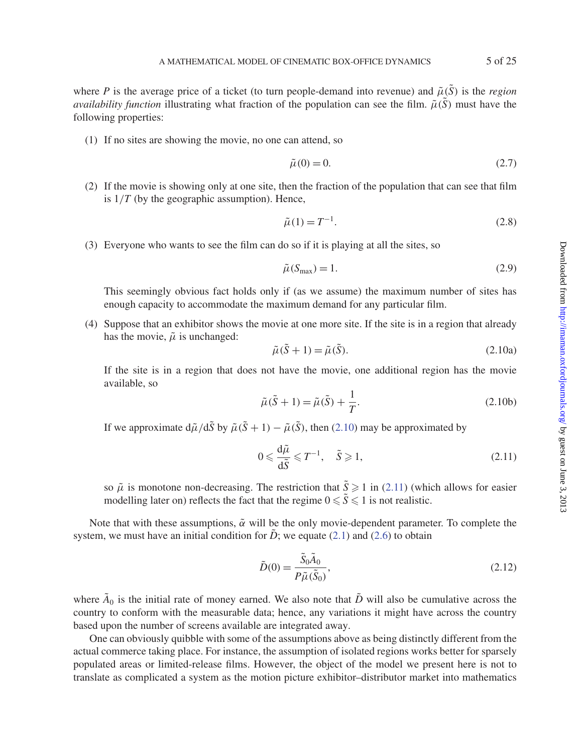where *P* is the average price of a ticket (to turn people-demand into revenue) and  $\tilde{\mu}(\tilde{S})$  is the *region availability function* illustrating what fraction of the population can see the film.  $\tilde{\mu}(S)$  must have the following properties:

(1) If no sites are showing the movie, no one can attend, so

<span id="page-4-4"></span>
$$
\tilde{\mu}(0) = 0.\tag{2.7}
$$

(2) If the movie is showing only at one site, then the fraction of the population that can see that film is  $1/T$  (by the geographic assumption). Hence,

<span id="page-4-5"></span>
$$
\tilde{\mu}(1) = T^{-1}.
$$
\n(2.8)

(3) Everyone who wants to see the film can do so if it is playing at all the sites, so

<span id="page-4-3"></span>
$$
\tilde{\mu}(S_{\text{max}}) = 1. \tag{2.9}
$$

This seemingly obvious fact holds only if (as we assume) the maximum number of sites has enough capacity to accommodate the maximum demand for any particular film.

(4) Suppose that an exhibitor shows the movie at one more site. If the site is in a region that already has the movie,  $\tilde{\mu}$  is unchanged:

<span id="page-4-0"></span>
$$
\tilde{\mu}(\tilde{S} + 1) = \tilde{\mu}(\tilde{S}).\tag{2.10a}
$$

If the site is in a region that does not have the movie, one additional region has the movie available, so

<span id="page-4-6"></span>
$$
\tilde{\mu}(\tilde{S} + 1) = \tilde{\mu}(\tilde{S}) + \frac{1}{T}.
$$
\n(2.10b)

If we approximate  $d\tilde{\mu}/d\tilde{S}$  by  $\tilde{\mu}(\tilde{S} + 1) - \tilde{\mu}(\tilde{S})$ , then [\(2.10\)](#page-4-0) may be approximated by

<span id="page-4-1"></span>
$$
0 \leqslant \frac{d\tilde{\mu}}{d\tilde{S}} \leqslant T^{-1}, \quad \tilde{S} \geqslant 1,
$$
\n<sup>(2.11)</sup>

so  $\tilde{\mu}$  is monotone non-decreasing. The restriction that  $\tilde{S} \geq 1$  in [\(2.11\)](#page-4-1) (which allows for easier modelling later on) reflects the fact that the regime  $0 \le \tilde{S} \le 1$  is not realistic.

Note that with these assumptions,  $\tilde{\alpha}$  will be the only movie-dependent parameter. To complete the system, we must have an initial condition for  $\ddot{D}$ ; we equate [\(2.1\)](#page-2-0) and [\(2.6\)](#page-3-1) to obtain

<span id="page-4-2"></span>
$$
\tilde{D}(0) = \frac{\tilde{S}_0 \tilde{A}_0}{P \tilde{\mu}(\tilde{S}_0)},\tag{2.12}
$$

where  $\tilde{A}_0$  is the initial rate of money earned. We also note that  $\tilde{D}$  will also be cumulative across the country to conform with the measurable data; hence, any variations it might have across the country based upon the number of screens available are integrated away.

One can obviously quibble with some of the assumptions above as being distinctly different from the actual commerce taking place. For instance, the assumption of isolated regions works better for sparsely populated areas or limited-release films. However, the object of the model we present here is not to translate as complicated a system as the motion picture exhibitor–distributor market into mathematics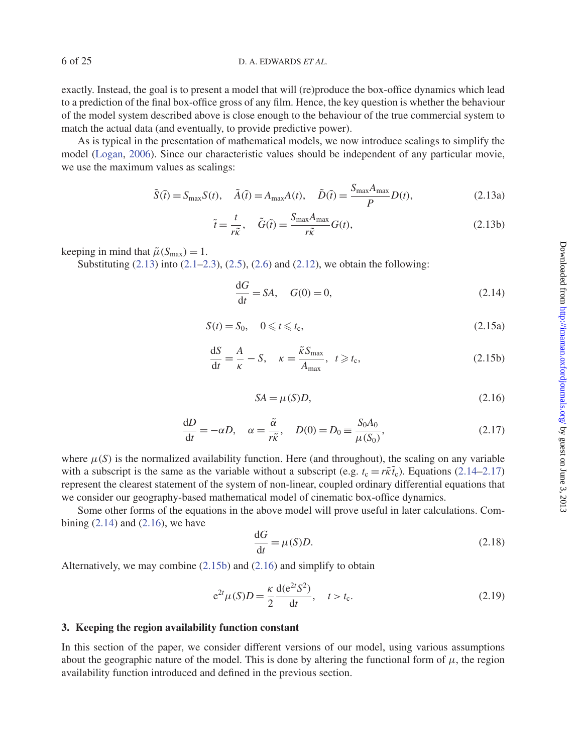exactly. Instead, the goal is to present a model that will (re)produce the box-office dynamics which lead to a prediction of the final box-office gross of any film. Hence, the key question is whether the behaviour of the model system described above is close enough to the behaviour of the true commercial system to match the actual data (and eventually, to provide predictive power).

As is typical in the presentation of mathematical models, we now introduce scalings to simplify the model [\(Logan,](#page-23-27) [2006](#page-23-27)). Since our characteristic values should be independent of any particular movie, we use the maximum values as scalings:

$$
\tilde{S}(\tilde{t}) = S_{\text{max}}S(t), \quad \tilde{A}(\tilde{t}) = A_{\text{max}}A(t), \quad \tilde{D}(\tilde{t}) = \frac{S_{\text{max}}A_{\text{max}}}{P}D(t), \tag{2.13a}
$$

<span id="page-5-0"></span>
$$
\tilde{t} = \frac{t}{r\tilde{\kappa}}, \quad \tilde{G}(\tilde{t}) = \frac{S_{\text{max}}A_{\text{max}}}{r\tilde{\kappa}}G(t),
$$
\n(2.13b)

keeping in mind that  $\tilde{\mu}(S_{\text{max}}) = 1$ .

Substituting  $(2.13)$  into  $(2.1–2.3)$  $(2.1–2.3)$ ,  $(2.5)$ ,  $(2.6)$  and  $(2.12)$ , we obtain the following:

<span id="page-5-1"></span>
$$
\frac{\mathrm{d}G}{\mathrm{d}t} = SA, \quad G(0) = 0,\tag{2.14}
$$

$$
S(t) = S_0, \quad 0 \leq t \leq t_c,
$$
\n
$$
(2.15a)
$$

$$
\frac{dS}{dt} = \frac{A}{\kappa} - S, \quad \kappa = \frac{\tilde{\kappa} S_{\text{max}}}{A_{\text{max}}}, \quad t \ge t_c,
$$
\n(2.15b)

<span id="page-5-5"></span><span id="page-5-4"></span><span id="page-5-3"></span><span id="page-5-2"></span>
$$
SA = \mu(S)D,\tag{2.16}
$$

$$
\frac{dD}{dt} = -\alpha D, \quad \alpha = \frac{\tilde{\alpha}}{r\tilde{\kappa}}, \quad D(0) = D_0 \equiv \frac{S_0 A_0}{\mu(S_0)},\tag{2.17}
$$

where  $\mu(S)$  is the normalized availability function. Here (and throughout), the scaling on any variable with a subscript is the same as the variable without a subscript (e.g.  $t_c = r\tilde{\kappa}\tilde{t}_c$ ). Equations [\(2.14–](#page-5-1)[2.17\)](#page-5-2) represent the clearest statement of the system of non-linear, coupled ordinary differential equations that we consider our geography-based mathematical model of cinematic box-office dynamics.

Some other forms of the equations in the above model will prove useful in later calculations. Combining  $(2.14)$  and  $(2.16)$ , we have

<span id="page-5-6"></span>
$$
\frac{\mathrm{d}G}{\mathrm{d}t} = \mu(S)D. \tag{2.18}
$$

Alternatively, we may combine [\(2.15b\)](#page-5-4) and [\(2.16\)](#page-5-3) and simplify to obtain

<span id="page-5-7"></span>
$$
e^{2t} \mu(S)D = \frac{\kappa}{2} \frac{d(e^{2t} S^2)}{dt}, \quad t > t_c.
$$
 (2.19)

### **3. Keeping the region availability function constant**

In this section of the paper, we consider different versions of our model, using various assumptions about the geographic nature of the model. This is done by altering the functional form of  $\mu$ , the region availability function introduced and defined in the previous section.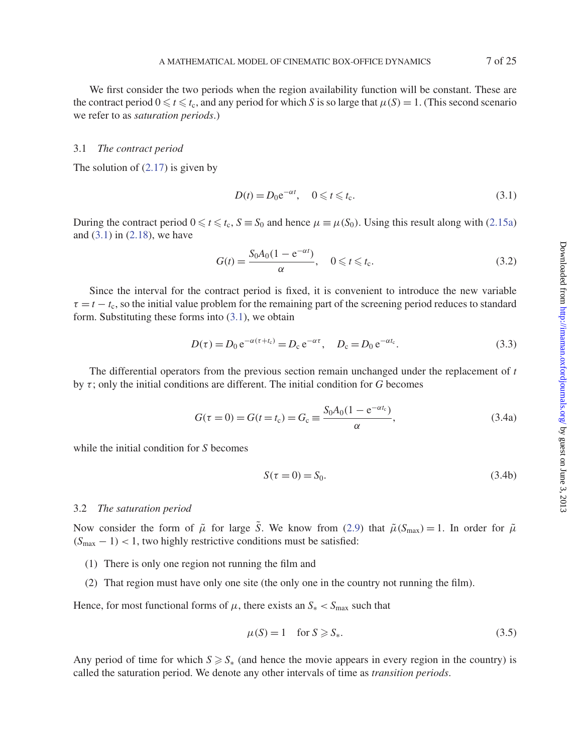We first consider the two periods when the region availability function will be constant. These are the contract period  $0 \le t \le t_c$ , and any period for which *S* is so large that  $\mu(S) = 1$ . (This second scenario we refer to as *saturation periods*.)

#### 3.1 *The contract period*

The solution of  $(2.17)$  is given by

<span id="page-6-2"></span>
$$
D(t) = D_0 e^{-\alpha t}, \quad 0 \leq t \leq t_c.
$$
\n
$$
(3.1)
$$

During the contract period  $0 \le t \le t_c$ ,  $S \equiv S_0$  and hence  $\mu \equiv \mu(S_0)$ . Using this result along with [\(2.15a\)](#page-5-5) and [\(3.1\)](#page-6-2) in [\(2.18\)](#page-5-6), we have

$$
G(t) = \frac{S_0 A_0 (1 - e^{-\alpha t})}{\alpha}, \quad 0 \leq t \leq t_c.
$$
 (3.2)

Since the interval for the contract period is fixed, it is convenient to introduce the new variable  $\tau = t - t_c$ , so the initial value problem for the remaining part of the screening period reduces to standard form. Substituting these forms into [\(3.1\)](#page-6-2), we obtain

<span id="page-6-0"></span>
$$
D(\tau) = D_0 e^{-\alpha(\tau + t_c)} = D_c e^{-\alpha \tau}, \quad D_c = D_0 e^{-\alpha t_c}.
$$
 (3.3)

The differential operators from the previous section remain unchanged under the replacement of *t* by  $\tau$ ; only the initial conditions are different. The initial condition for *G* becomes

$$
G(\tau = 0) = G(t = t_c) = G_c \equiv \frac{S_0 A_0 (1 - e^{-\alpha t_c})}{\alpha},
$$
\n(3.4a)

while the initial condition for *S* becomes

$$
S(\tau = 0) = S_0. \tag{3.4b}
$$

#### 3.2 *The saturation period*

Now consider the form of  $\tilde{\mu}$  for large *S*. We know from [\(2.9\)](#page-4-3) that  $\tilde{\mu}(S_{\text{max}}) = 1$ . In order for  $\tilde{\mu}$  $(S<sub>max</sub> - 1) < 1$ , two highly restrictive conditions must be satisfied:

- (1) There is only one region not running the film and
- (2) That region must have only one site (the only one in the country not running the film).

Hence, for most functional forms of  $\mu$ , there exists an  $S_* < S_{\text{max}}$  such that

<span id="page-6-1"></span>
$$
\mu(S) = 1 \quad \text{for } S \ge S_*, \tag{3.5}
$$

Any period of time for which  $S \ge S_*$  (and hence the movie appears in every region in the country) is called the saturation period. We denote any other intervals of time as *transition periods*.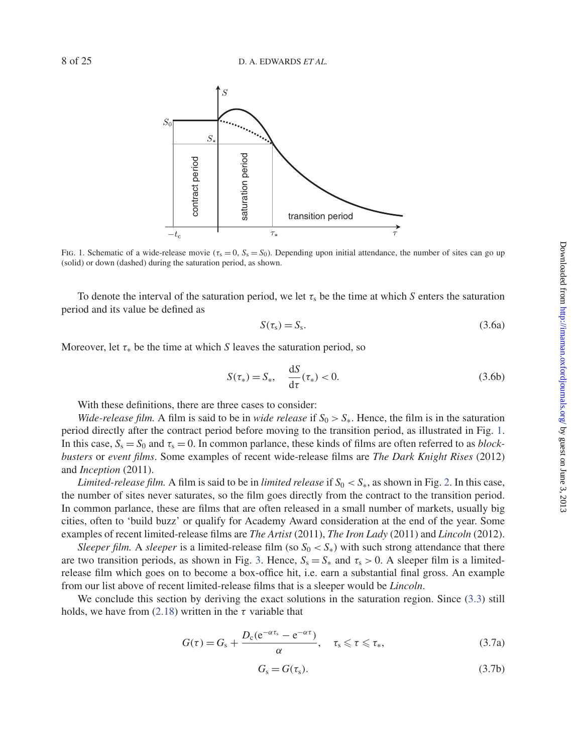

<span id="page-7-1"></span>Fig. 1. Schematic of a wide-release movie ( $\tau_s = 0$ ,  $S_s = S_0$ ). Depending upon initial attendance, the number of sites can go up (solid) or down (dashed) during the saturation period, as shown.

To denote the interval of the saturation period, we let  $\tau_s$  be the time at which *S* enters the saturation period and its value be defined as

<span id="page-7-0"></span>
$$
S(\tau_s) = S_s. \tag{3.6a}
$$

Moreover, let  $\tau_*$  be the time at which *S* leaves the saturation period, so

$$
S(\tau_*) = S_*, \quad \frac{\mathrm{d}S}{\mathrm{d}\tau}(\tau_*) < 0. \tag{3.6b}
$$

With these definitions, there are three cases to consider:

*Wide-release film.* A film is said to be in *wide release* if  $S_0 > S_*$ . Hence, the film is in the saturation period directly after the contract period before moving to the transition period, as illustrated in Fig. [1.](#page-7-1) In this case,  $S_s = S_0$  and  $\tau_s = 0$ . In common parlance, these kinds of films are often referred to as *blockbusters* or *event films*. Some examples of recent wide-release films are *The Dark Knight Rises* (2012) and *Inception* (2011).

*Limited-release film.* A film is said to be in *limited release* if  $S_0 < S_*$ , as shown in Fig. [2.](#page-8-0) In this case, the number of sites never saturates, so the film goes directly from the contract to the transition period. In common parlance, these are films that are often released in a small number of markets, usually big cities, often to 'build buzz' or qualify for Academy Award consideration at the end of the year. Some examples of recent limited-release films are *The Artist* (2011), *The Iron Lady* (2011) and *Lincoln* (2012).

*Sleeper film.* A *sleeper* is a limited-release film (so  $S_0 < S_*$ ) with such strong attendance that there are two transition periods, as shown in Fig. [3.](#page-8-1) Hence,  $S_s = S_*$  and  $\tau_s > 0$ . A sleeper film is a limitedrelease film which goes on to become a box-office hit, i.e. earn a substantial final gross. An example from our list above of recent limited-release films that is a sleeper would be *Lincoln*.

We conclude this section by deriving the exact solutions in the saturation region. Since  $(3.3)$  still holds, we have from [\(2.18\)](#page-5-6) written in the  $\tau$  variable that

$$
G(\tau) = G_{\rm s} + \frac{D_{\rm c}(e^{-\alpha \tau_{\rm s}} - e^{-\alpha \tau})}{\alpha}, \quad \tau_{\rm s} \leqslant \tau \leqslant \tau_*, \tag{3.7a}
$$

$$
G_{\rm s}=G(\tau_{\rm s}).\tag{3.7b}
$$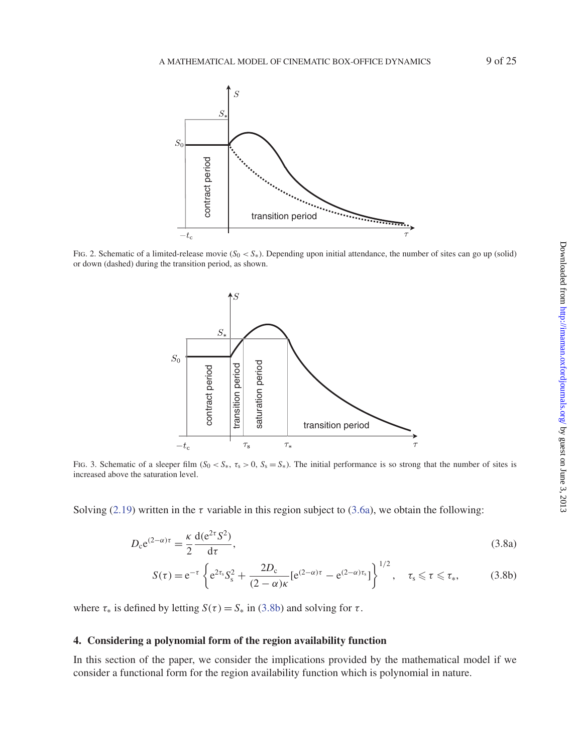

<span id="page-8-0"></span>Fig. 2. Schematic of a limited-release movie  $(S_0 < S_*)$ . Depending upon initial attendance, the number of sites can go up (solid) or down (dashed) during the transition period, as shown.



<span id="page-8-1"></span>Fig. 3. Schematic of a sleeper film  $(S_0 < S_*, \tau_s > 0, S_s = S_*)$ . The initial performance is so strong that the number of sites is increased above the saturation level.

Solving [\(2.19\)](#page-5-7) written in the  $\tau$  variable in this region subject to [\(3.6a\)](#page-7-0), we obtain the following:

$$
D_{\rm c}e^{(2-\alpha)\tau} = \frac{\kappa}{2}\frac{\mathrm{d}(e^{2\tau}S^2)}{\mathrm{d}\tau},\tag{3.8a}
$$

<span id="page-8-3"></span><span id="page-8-2"></span>
$$
S(\tau) = e^{-\tau} \left\{ e^{2\tau_s} S_s^2 + \frac{2D_c}{(2-\alpha)\kappa} [e^{(2-\alpha)\tau} - e^{(2-\alpha)\tau_s}] \right\}^{1/2}, \quad \tau_s \leq \tau \leq \tau_*, \tag{3.8b}
$$

where  $\tau_*$  is defined by letting  $S(\tau) = S_*$  in [\(3.8b\)](#page-8-2) and solving for  $\tau$ .

# **4. Considering a polynomial form of the region availability function**

In this section of the paper, we consider the implications provided by the mathematical model if we consider a functional form for the region availability function which is polynomial in nature.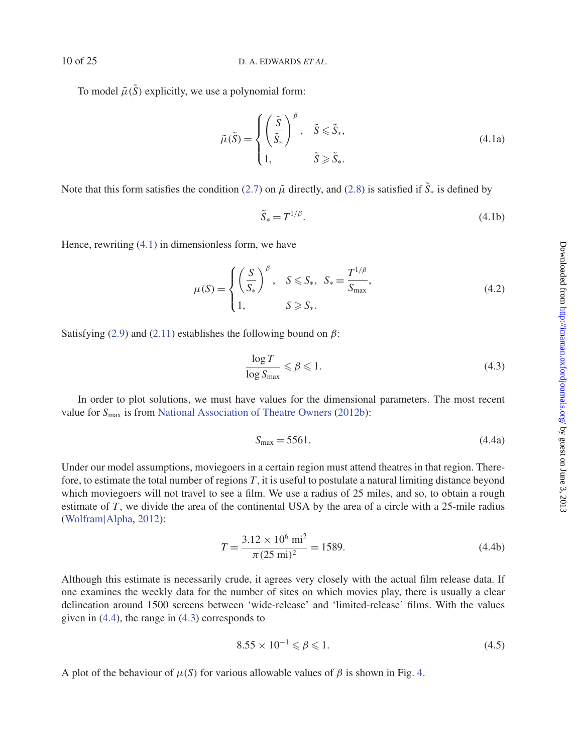To model  $\tilde{\mu}(\tilde{S})$  explicitly, we use a polynomial form:

<span id="page-9-1"></span><span id="page-9-0"></span>
$$
\tilde{\mu}(\tilde{S}) = \begin{cases}\n\left(\frac{\tilde{S}}{\tilde{S}_*}\right)^{\beta}, & \tilde{S} \leq \tilde{S}_*, \\
1, & \tilde{S} \geq \tilde{S}_*. \n\end{cases}
$$
\n(4.1a)

Note that this form satisfies the condition [\(2.7\)](#page-4-4) on  $\tilde{\mu}$  directly, and [\(2.8\)](#page-4-5) is satisfied if  $\tilde{S}_*$  is defined by

$$
\tilde{S}_* = T^{1/\beta}.\tag{4.1b}
$$

Hence, rewriting [\(4.1\)](#page-9-1) in dimensionless form, we have

<span id="page-9-4"></span>
$$
\mu(S) = \begin{cases} \left(\frac{S}{S_*}\right)^{\beta}, & S \leq S_*, \quad S_* = \frac{T^{1/\beta}}{S_{\text{max}}}, \\ 1, & S \geq S_*. \end{cases}
$$
\n(4.2)

Satisfying [\(2.9\)](#page-4-3) and [\(2.11\)](#page-4-1) establishes the following bound on  $\beta$ :

<span id="page-9-3"></span>
$$
\frac{\log T}{\log S_{\max}} \leqslant \beta \leqslant 1. \tag{4.3}
$$

In order to plot solutions, we must have values for the dimensional parameters. The most recent value for  $S_{\text{max}}$  is from [National Association of Theatre Owners](#page-23-28) [\(2012b\)](#page-23-28):

<span id="page-9-5"></span><span id="page-9-2"></span>
$$
S_{\text{max}} = 5561. \tag{4.4a}
$$

Under our model assumptions, moviegoers in a certain region must attend theatres in that region. Therefore, to estimate the total number of regions *T*, it is useful to postulate a natural limiting distance beyond which moviegoers will not travel to see a film. We use a radius of 25 miles, and so, to obtain a rough estimate of *T*, we divide the area of the continental USA by the area of a circle with a 25-mile radius [\(Wolfram](#page-24-4)|Alpha, [2012\)](#page-24-4):

$$
T = \frac{3.12 \times 10^6 \text{ mi}^2}{\pi (25 \text{ mi})^2} = 1589.
$$
 (4.4b)

Although this estimate is necessarily crude, it agrees very closely with the actual film release data. If one examines the weekly data for the number of sites on which movies play, there is usually a clear delineation around 1500 screens between 'wide-release' and 'limited-release' films. With the values given in [\(4.4\)](#page-9-2), the range in [\(4.3\)](#page-9-3) corresponds to

$$
8.55 \times 10^{-1} \leqslant \beta \leqslant 1. \tag{4.5}
$$

A plot of the behaviour of  $\mu(S)$  for various allowable values of  $\beta$  is shown in Fig. [4.](#page-10-1)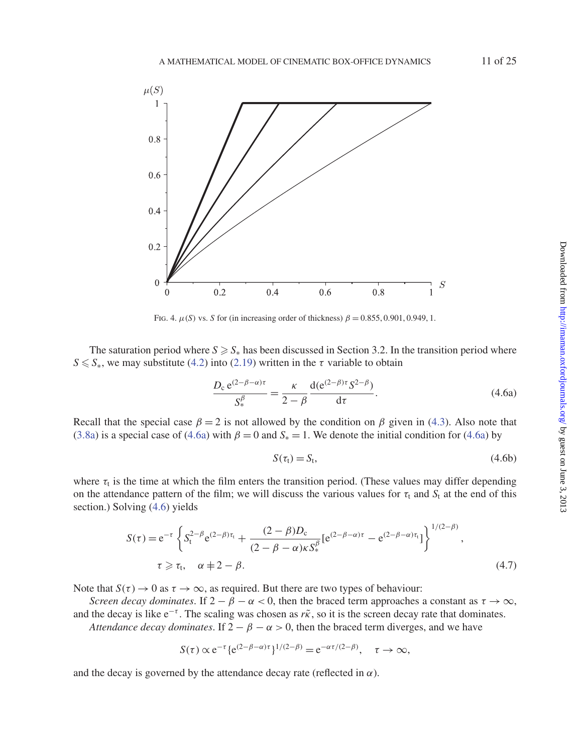

<span id="page-10-1"></span>FIG. 4.  $\mu(S)$  vs. *S* for (in increasing order of thickness)  $\beta = 0.855, 0.901, 0.949, 1$ .

The saturation period where  $S \ge S_*$  has been discussed in Section 3.2. In the transition period where  $S \le S_*$ , we may substitute [\(4.2\)](#page-9-4) into [\(2.19\)](#page-5-7) written in the  $\tau$  variable to obtain

<span id="page-10-2"></span>
$$
\frac{D_{\rm c} e^{(2-\beta-\alpha)\tau}}{S_{\rm *}^{\beta}} = \frac{\kappa}{2-\beta} \frac{\mathrm{d}(\mathrm{e}^{(2-\beta)\tau} S^{2-\beta})}{\mathrm{d}\tau}.
$$
\n(4.6a)

Recall that the special case  $\beta = 2$  is not allowed by the condition on  $\beta$  given in [\(4.3\)](#page-9-3). Also note that [\(3.8a\)](#page-8-3) is a special case of [\(4.6a\)](#page-10-2) with  $\beta = 0$  and  $S_* = 1$ . We denote the initial condition for (4.6a) by

<span id="page-10-4"></span><span id="page-10-3"></span><span id="page-10-0"></span>
$$
S(\tau_t) = S_t,\tag{4.6b}
$$

where  $\tau_t$  is the time at which the film enters the transition period. (These values may differ depending on the attendance pattern of the film; we will discuss the various values for  $\tau_t$  and  $S_t$  at the end of this section.) Solving [\(4.6\)](#page-10-3) yields

$$
S(\tau) = e^{-\tau} \left\{ S_t^{2-\beta} e^{(2-\beta)\tau_t} + \frac{(2-\beta)D_c}{(2-\beta-\alpha)\kappa S_*^{\beta}} [e^{(2-\beta-\alpha)\tau} - e^{(2-\beta-\alpha)\tau_t}] \right\}^{1/(2-\beta)},
$$
  
\n $\tau \ge \tau_t, \quad \alpha \ne 2-\beta.$  (4.7)

Note that  $S(\tau) \to 0$  as  $\tau \to \infty$ , as required. But there are two types of behaviour:

*Screen decay dominates*. If  $2 - \beta - \alpha < 0$ , then the braced term approaches a constant as  $\tau \to \infty$ , and the decay is like  $e^{-\tau}$ . The scaling was chosen as  $r\tilde{k}$ , so it is the screen decay rate that dominates.

*Attendance decay dominates*. If  $2 - \beta - \alpha > 0$ , then the braced term diverges, and we have

$$
S(\tau) \propto e^{-\tau} \{e^{(2-\beta-\alpha)\tau}\}^{1/(2-\beta)} = e^{-\alpha\tau/(2-\beta)}, \quad \tau \to \infty,
$$

and the decay is governed by the attendance decay rate (reflected in  $\alpha$ ).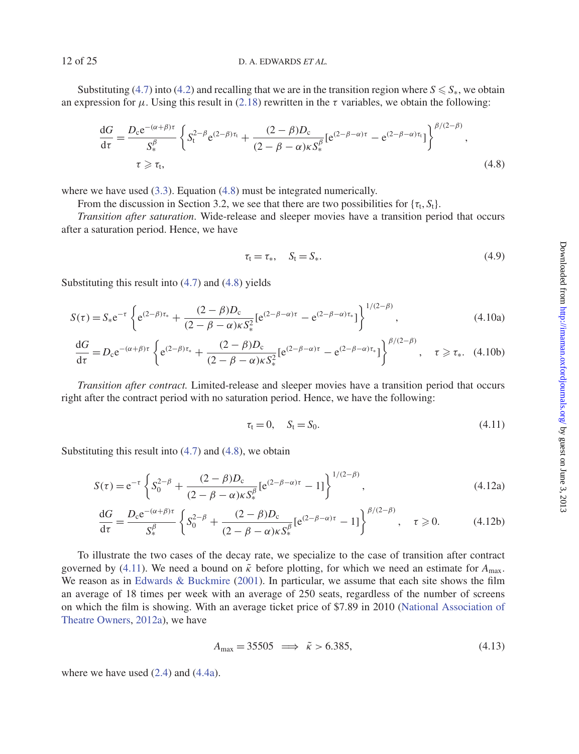Substituting [\(4.7\)](#page-10-4) into [\(4.2\)](#page-9-4) and recalling that we are in the transition region where  $S \le S_*$ , we obtain an expression for  $\mu$ . Using this result in [\(2.18\)](#page-5-6) rewritten in the  $\tau$  variables, we obtain the following:

$$
\frac{dG}{d\tau} = \frac{D_{c}e^{-(\alpha+\beta)\tau}}{S_{\tau}^{\beta}} \left\{ S_{t}^{2-\beta}e^{(2-\beta)\tau_{t}} + \frac{(2-\beta)D_{c}}{(2-\beta-\alpha)\kappa S_{*}^{\beta}} [e^{(2-\beta-\alpha)\tau} - e^{(2-\beta-\alpha)\tau_{t}}] \right\}^{\beta/(2-\beta)},
$$
\n
$$
\tau \ge \tau_{t},
$$
\n(4.8)

where we have used [\(3.3\)](#page-6-0). Equation [\(4.8\)](#page-11-0) must be integrated numerically.

From the discussion in Section 3.2, we see that there are two possibilities for  $\{\tau_t, S_t\}$ .

*Transition after saturation*. Wide-release and sleeper movies have a transition period that occurs after a saturation period. Hence, we have

<span id="page-11-3"></span><span id="page-11-2"></span><span id="page-11-0"></span>
$$
\tau_t = \tau_*, \quad S_t = S_*. \tag{4.9}
$$

Substituting this result into [\(4.7\)](#page-10-4) and [\(4.8\)](#page-11-0) yields

$$
S(\tau) = S_* e^{-\tau} \left\{ e^{(2-\beta)\tau_*} + \frac{(2-\beta)D_c}{(2-\beta-\alpha)\kappa S_*^2} [e^{(2-\beta-\alpha)\tau} - e^{(2-\beta-\alpha)\tau_*}] \right\}^{1/(2-\beta)},
$$
(4.10a)

$$
\frac{\mathrm{d}G}{\mathrm{d}\tau} = D_{\mathrm{c}} \mathrm{e}^{-(\alpha+\beta)\tau} \left\{ \mathrm{e}^{(2-\beta)\tau_{*}} + \frac{(2-\beta)D_{\mathrm{c}}}{(2-\beta-\alpha)\kappa S_{*}^{2}} \left[ \mathrm{e}^{(2-\beta-\alpha)\tau} - \mathrm{e}^{(2-\beta-\alpha)\tau_{*}} \right] \right\}^{\beta/(2-\beta)}, \quad \tau \geq \tau_{*}.\tag{4.10b}
$$

*Transition after contract.* Limited-release and sleeper movies have a transition period that occurs right after the contract period with no saturation period. Hence, we have the following:

<span id="page-11-4"></span><span id="page-11-1"></span>
$$
\tau_t = 0, \quad S_t = S_0. \tag{4.11}
$$

Substituting this result into  $(4.7)$  and  $(4.8)$ , we obtain

$$
S(\tau) = e^{-\tau} \left\{ S_0^{2-\beta} + \frac{(2-\beta)D_c}{(2-\beta-\alpha)\kappa S_*^{\beta}} [e^{(2-\beta-\alpha)\tau} - 1] \right\}^{1/(2-\beta)},
$$
\n(4.12a)

$$
\frac{\mathrm{d}G}{\mathrm{d}\tau} = \frac{D_{\mathrm{c}}\mathrm{e}^{-(\alpha+\beta)\tau}}{S_{\ast}^{\beta}} \left\{ S_{0}^{2-\beta} + \frac{(2-\beta)D_{\mathrm{c}}}{(2-\beta-\alpha)\kappa S_{\ast}^{\beta}} [\mathrm{e}^{(2-\beta-\alpha)\tau} - 1] \right\}^{\beta/(2-\beta)}, \quad \tau \geqslant 0. \tag{4.12b}
$$

To illustrate the two cases of the decay rate, we specialize to the case of transition after contract governed by [\(4.11\)](#page-11-1). We need a bound on  $\tilde{\kappa}$  before plotting, for which we need an estimate for  $A_{\text{max}}$ . We reason as in [Edwards & Buckmire](#page-23-0) [\(2001\)](#page-23-0). In particular, we assume that each site shows the film an average of 18 times per week with an average of 250 seats, regardless of the number of screens on which the fil[m is showing. With an average ticket price of \\$7.89 in 2010 \(](#page-23-29)National Association of Theatre Owners, [2012a](#page-23-29)), we have

<span id="page-11-5"></span>
$$
A_{\text{max}} = 35505 \implies \tilde{\kappa} > 6.385,\tag{4.13}
$$

where we have used [\(2.4\)](#page-3-4) and [\(4.4a\)](#page-9-5).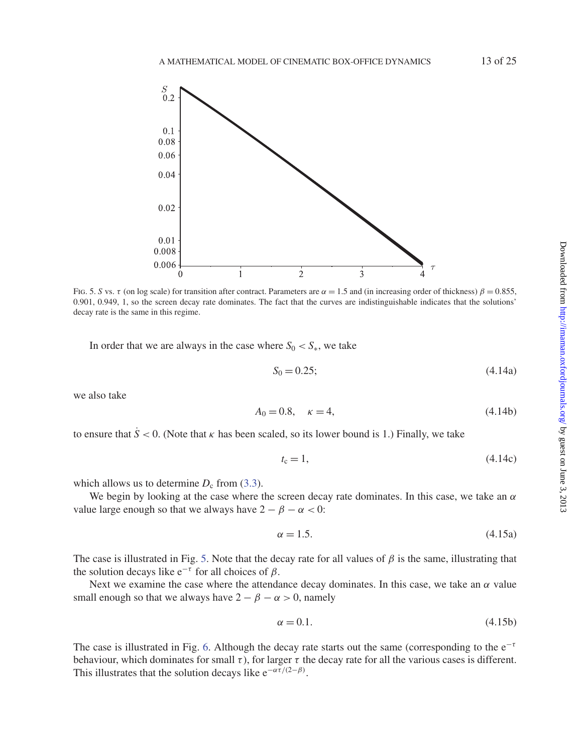

<span id="page-12-0"></span>Fig. 5. *S* vs. τ (on log scale) for transition after contract. Parameters are  $\alpha = 1.5$  and (in increasing order of thickness)  $\beta = 0.855$ , 0.901, 0.949, 1, so the screen decay rate dominates. The fact that the curves are indistinguishable indicates that the solutions' decay rate is the same in this regime.

In order that we are always in the case where  $S_0 < S_*$ , we take

<span id="page-12-2"></span>
$$
S_0 = 0.25; \t(4.14a)
$$

we also take

<span id="page-12-1"></span>
$$
A_0 = 0.8, \quad \kappa = 4,\tag{4.14b}
$$

to ensure that  $\dot{S}$  < 0. (Note that  $\kappa$  has been scaled, so its lower bound is 1.) Finally, we take

$$
t_{\rm c} = 1,\tag{4.14c}
$$

which allows us to determine  $D_c$  from [\(3.3\)](#page-6-0).

We begin by looking at the case where the screen decay rate dominates. In this case, we take an  $\alpha$ value large enough so that we always have  $2 - \beta - \alpha < 0$ :

<span id="page-12-3"></span>
$$
\alpha = 1.5. \tag{4.15a}
$$

The case is illustrated in Fig. [5.](#page-12-0) Note that the decay rate for all values of  $\beta$  is the same, illustrating that the solution decays like  $e^{-\tau}$  for all choices of  $\beta$ .

Next we examine the case where the attendance decay dominates. In this case, we take an  $\alpha$  value small enough so that we always have  $2 - \beta - \alpha > 0$ , namely

<span id="page-12-4"></span>
$$
\alpha = 0.1. \tag{4.15b}
$$

The case is illustrated in Fig. [6.](#page-13-0) Although the decay rate starts out the same (corresponding to the  $e^{-\tau}$ behaviour, which dominates for small  $\tau$ ), for larger  $\tau$  the decay rate for all the various cases is different. This illustrates that the solution decays like  $e^{-\alpha \tau/(2-\beta)}$ .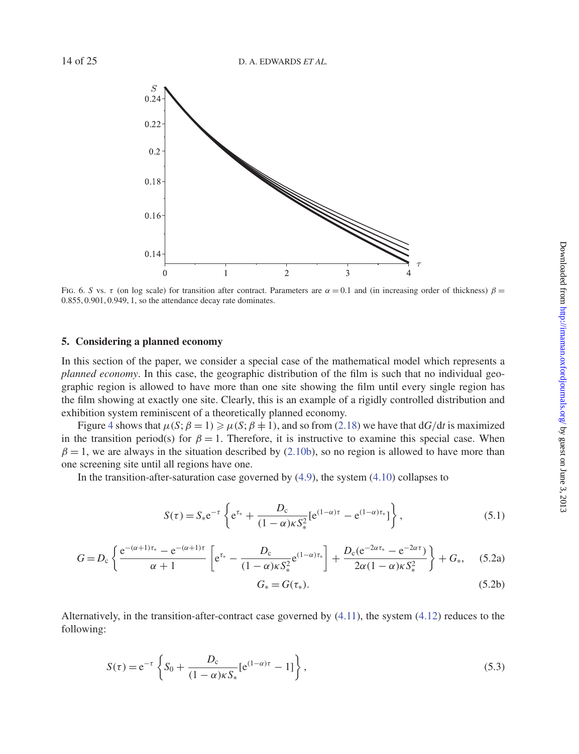

<span id="page-13-0"></span>Fig. 6. *S* vs. τ (on log scale) for transition after contract. Parameters are  $\alpha = 0.1$  and (in increasing order of thickness)  $\beta =$ 0.855, 0.901, 0.949, 1, so the attendance decay rate dominates.

# **5. Considering a planned economy**

In this section of the paper, we consider a special case of the mathematical model which represents a *planned economy*. In this case, the geographic distribution of the film is such that no individual geographic region is allowed to have more than one site showing the film until every single region has the film showing at exactly one site. Clearly, this is an example of a rigidly controlled distribution and exhibition system reminiscent of a theoretically planned economy.

Figure [4](#page-10-1) shows that  $\mu(S; \beta = 1) \geq \mu(S; \beta = 1)$ , and so from [\(2.18\)](#page-5-6) we have that  $dG/dt$  is maximized in the transition period(s) for  $\beta = 1$ . Therefore, it is instructive to examine this special case. When  $\beta = 1$ , we are always in the situation described by [\(2.10b\)](#page-4-6), so no region is allowed to have more than one screening site until all regions have one.

In the transition-after-saturation case governed by  $(4.9)$ , the system  $(4.10)$  collapses to

$$
S(\tau) = S_* e^{-\tau} \left\{ e^{\tau_*} + \frac{D_c}{(1-\alpha)\kappa S_*^2} [e^{(1-\alpha)\tau} - e^{(1-\alpha)\tau_*}] \right\},
$$
 (5.1)

$$
G = D_{c} \left\{ \frac{e^{-(\alpha+1)\tau_{*}} - e^{-(\alpha+1)\tau}}{\alpha+1} \left[ e^{\tau_{*}} - \frac{D_{c}}{(1-\alpha)\kappa S_{*}^{2}} e^{(1-\alpha)\tau_{*}} \right] + \frac{D_{c} (e^{-2\alpha\tau_{*}} - e^{-2\alpha\tau})}{2\alpha(1-\alpha)\kappa S_{*}^{2}} \right\} + G_{*}, \quad (5.2a)
$$

$$
G_* = G(\tau_*). \tag{5.2b}
$$

Alternatively, in the transition-after-contract case governed by [\(4.11\)](#page-11-1), the system [\(4.12\)](#page-11-4) reduces to the following:

$$
S(\tau) = e^{-\tau} \left\{ S_0 + \frac{D_c}{(1 - \alpha)\kappa S_*} [e^{(1 - \alpha)\tau} - 1] \right\},
$$
\n(5.3)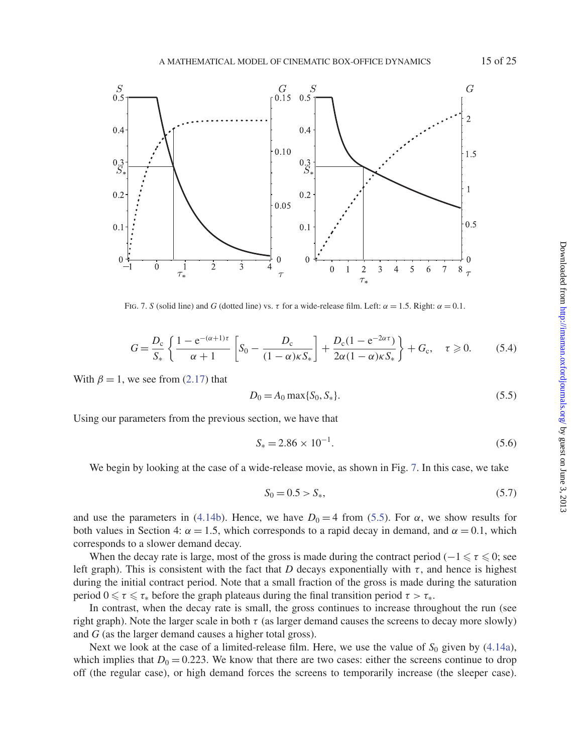

<span id="page-14-0"></span>Fig. 7. *S* (solid line) and *G* (dotted line) vs.  $\tau$  for a wide-release film. Left:  $\alpha = 1.5$ . Right:  $\alpha = 0.1$ .

$$
G = \frac{D_c}{S_*} \left\{ \frac{1 - e^{-(\alpha + 1)\tau}}{\alpha + 1} \left[ S_0 - \frac{D_c}{(1 - \alpha)\kappa S_*} \right] + \frac{D_c (1 - e^{-2\alpha \tau})}{2\alpha (1 - \alpha)\kappa S_*} \right\} + G_c, \quad \tau \geq 0. \tag{5.4}
$$

With  $\beta = 1$ , we see from [\(2.17\)](#page-5-2) that

<span id="page-14-1"></span>
$$
D_0 = A_0 \max\{S_0, S_*\}.\tag{5.5}
$$

Using our parameters from the previous section, we have that

$$
S_* = 2.86 \times 10^{-1}.
$$
\n(5.6)

We begin by looking at the case of a wide-release movie, as shown in Fig. [7.](#page-14-0) In this case, we take

$$
S_0 = 0.5 > S_*,\tag{5.7}
$$

and use the parameters in [\(4.14b\)](#page-12-1). Hence, we have  $D_0 = 4$  from [\(5.5\)](#page-14-1). For  $\alpha$ , we show results for both values in Section 4:  $\alpha = 1.5$ , which corresponds to a rapid decay in demand, and  $\alpha = 0.1$ , which corresponds to a slower demand decay.

When the decay rate is large, most of the gross is made during the contract period ( $-1 \le \tau \le 0$ ; see left graph). This is consistent with the fact that *D* decays exponentially with  $\tau$ , and hence is highest during the initial contract period. Note that a small fraction of the gross is made during the saturation period  $0 \leq \tau \leq \tau_*$  before the graph plateaus during the final transition period  $\tau > \tau_*$ .

In contrast, when the decay rate is small, the gross continues to increase throughout the run (see right graph). Note the larger scale in both  $\tau$  (as larger demand causes the screens to decay more slowly) and *G* (as the larger demand causes a higher total gross).

Next we look at the case of a limited-release film. Here, we use the value of  $S_0$  given by [\(4.14a\)](#page-12-2), which implies that  $D_0 = 0.223$ . We know that there are two cases: either the screens continue to drop off (the regular case), or high demand forces the screens to temporarily increase (the sleeper case).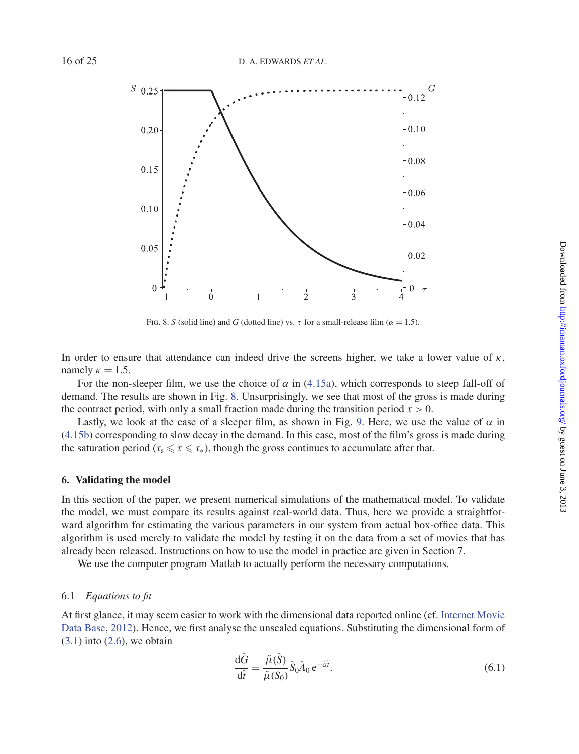

<span id="page-15-0"></span>Fig. 8. *S* (solid line) and *G* (dotted line) vs.  $\tau$  for a small-release film ( $\alpha = 1.5$ ).

In order to ensure that attendance can indeed drive the screens higher, we take a lower value of  $\kappa$ , namely  $\kappa = 1.5$ .

For the non-sleeper film, we use the choice of  $\alpha$  in [\(4.15a\)](#page-12-3), which corresponds to steep fall-off of demand. The results are shown in Fig. [8.](#page-15-0) Unsurprisingly, we see that most of the gross is made during the contract period, with only a small fraction made during the transition period  $\tau > 0$ .

Lastly, we look at the case of a sleeper film, as shown in Fig. [9.](#page-16-0) Here, we use the value of  $\alpha$  in [\(4.15b\)](#page-12-4) corresponding to slow decay in the demand. In this case, most of the film's gross is made during the saturation period ( $\tau_s \leq \tau \leq \tau_*$ ), though the gross continues to accumulate after that.

# **6. Validating the model**

In this section of the paper, we present numerical simulations of the mathematical model. To validate the model, we must compare its results against real-world data. Thus, here we provide a straightforward algorithm for estimating the various parameters in our system from actual box-office data. This algorithm is used merely to validate the model by testing it on the data from a set of movies that has already been released. Instructions on how to use the model in practice are given in Section 7.

We use the computer program Matlab to actually perform the necessary computations.

#### 6.1 *Equations to fit*

At first gl[ance, it may seem easier to work with the dimensional data reported online \(cf.](#page-23-25) Internet Movie Data Base, [2012](#page-23-25)). Hence, we first analyse the unscaled equations. Substituting the dimensional form of  $(3.1)$  into  $(2.6)$ , we obtain

<span id="page-15-1"></span>
$$
\frac{\mathrm{d}\tilde{G}}{\mathrm{d}\tilde{t}} = \frac{\tilde{\mu}(\tilde{S})}{\tilde{\mu}(S_0)} \tilde{S}_0 \tilde{A}_0 \,\mathrm{e}^{-\tilde{\alpha}\tilde{t}}.\tag{6.1}
$$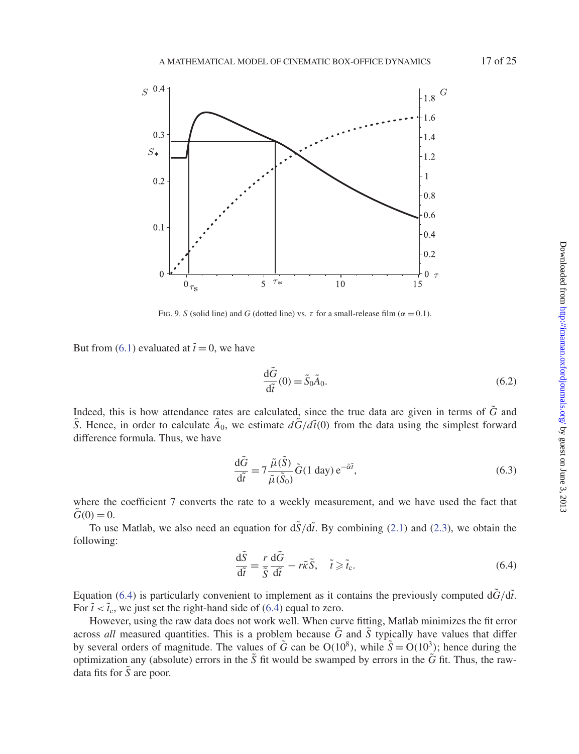

<span id="page-16-0"></span>Fig. 9. *S* (solid line) and *G* (dotted line) vs.  $\tau$  for a small-release film ( $\alpha = 0.1$ ).

But from [\(6.1\)](#page-15-1) evaluated at  $\tilde{t} = 0$ , we have

$$
\frac{\mathrm{d}\tilde{G}}{\mathrm{d}\tilde{t}}(0) = \tilde{S}_0 \tilde{A}_0. \tag{6.2}
$$

Indeed, this is how attendance rates are calculated, since the true data are given in terms of  $\tilde{G}$  and *S*. Hence, in order to calculate  $\tilde{A}_0$ , we estimate  $d\tilde{G}/d\tilde{t}(0)$  from the data using the simplest forward difference formula. Thus, we have

<span id="page-16-2"></span>
$$
\frac{\mathrm{d}\tilde{G}}{\mathrm{d}\tilde{t}} = 7 \frac{\tilde{\mu}(\tilde{S})}{\tilde{\mu}(\tilde{S}_0)} \tilde{G}(1 \text{ day}) e^{-\tilde{a}\tilde{t}},\tag{6.3}
$$

where the coefficient 7 converts the rate to a weekly measurement, and we have used the fact that  $\ddot{G}(0) = 0.$ 

To use Matlab, we also need an equation for  $d\tilde{S}/d\tilde{t}$ . By combining [\(2.1\)](#page-2-0) and [\(2.3\)](#page-3-2), we obtain the following:

<span id="page-16-1"></span>
$$
\frac{\mathrm{d}\tilde{S}}{\mathrm{d}\tilde{t}} = \frac{r}{\tilde{S}} \frac{\mathrm{d}\tilde{G}}{\mathrm{d}\tilde{t}} - r\tilde{\kappa}\tilde{S}, \quad \tilde{t} \ge \tilde{t}_{\rm c}.\tag{6.4}
$$

Equation [\(6.4\)](#page-16-1) is particularly convenient to implement as it contains the previously computed  $d\tilde{G}/d\tilde{t}$ . For  $\tilde{t} < \tilde{t}_c$ , we just set the right-hand side of [\(6.4\)](#page-16-1) equal to zero.

However, using the raw data does not work well. When curve fitting, Matlab minimizes the fit error across *all* measured quantities. This is a problem because  $\tilde{G}$  and  $\tilde{S}$  typically have values that differ by several orders of magnitude. The values of  $\tilde{G}$  can be  $O(10^8)$ , while  $\tilde{S} = O(10^3)$ ; hence during the optimization any (absolute) errors in the  $\tilde{S}$  fit would be swamped by errors in the  $\tilde{G}$  fit. Thus, the rawdata fits for  $\tilde{S}$  are poor.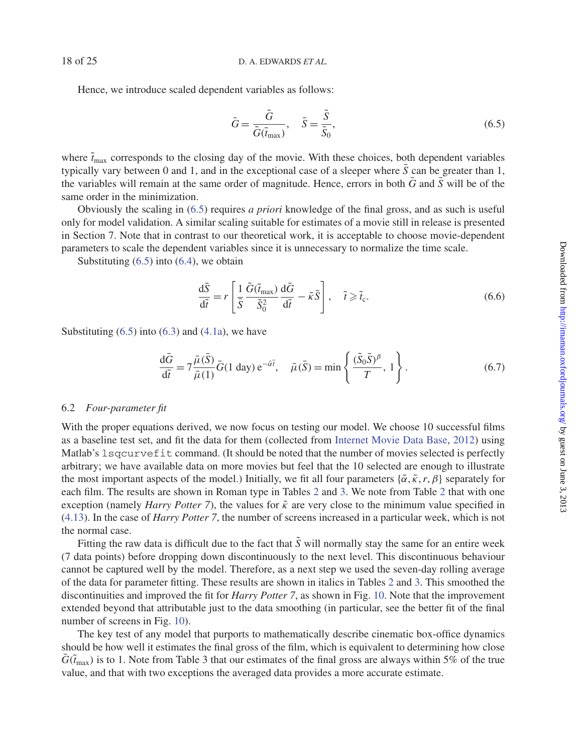Hence, we introduce scaled dependent variables as follows:

<span id="page-17-0"></span>
$$
\bar{G} = \frac{\tilde{G}}{\tilde{G}(\tilde{t}_{\text{max}})}, \quad \bar{S} = \frac{\tilde{S}}{\tilde{S}_0},\tag{6.5}
$$

where  $\tilde{t}_{\rm max}$  corresponds to the closing day of the movie. With these choices, both dependent variables typically vary between 0 and 1, and in the exceptional case of a sleeper where  $\bar{S}$  can be greater than 1, the variables will remain at the same order of magnitude. Hence, errors in both  $\bar{G}$  and  $\bar{S}$  will be of the same order in the minimization.

Obviously the scaling in [\(6.5\)](#page-17-0) requires *a priori* knowledge of the final gross, and as such is useful only for model validation. A similar scaling suitable for estimates of a movie still in release is presented in Section 7. Note that in contrast to our theoretical work, it is acceptable to choose movie-dependent parameters to scale the dependent variables since it is unnecessary to normalize the time scale.

Substituting  $(6.5)$  into  $(6.4)$ , we obtain

$$
\frac{\mathrm{d}\bar{S}}{\mathrm{d}\tilde{t}} = r \left[ \frac{1}{\bar{S}} \frac{\tilde{G}(\tilde{t}_{\text{max}})}{\tilde{S}_0^2} \frac{\mathrm{d}\bar{G}}{\mathrm{d}\tilde{t}} - \tilde{\kappa}\bar{S} \right], \quad \tilde{t} \geqslant \tilde{t}_{\text{c}}.
$$
\n(6.6)

Substituting  $(6.5)$  into  $(6.3)$  and  $(4.1a)$ , we have

<span id="page-17-1"></span>
$$
\frac{\mathrm{d}\bar{G}}{\mathrm{d}\tilde{t}} = 7 \frac{\bar{\mu}(\bar{S})}{\bar{\mu}(1)} \bar{G}(1 \text{ day}) \,\mathrm{e}^{-\tilde{\alpha}\tilde{t}}, \quad \bar{\mu}(\bar{S}) = \min\left\{ \frac{(\tilde{S}_0 \bar{S})^\beta}{T}, \, 1 \right\}. \tag{6.7}
$$

### 6.2 *Four-parameter fit*

With the proper equations derived, we now focus on testing our model. We choose 10 successful films as a baseline test set, and fit the data for them (collected from [Internet Movie Data Base](#page-23-25), [2012\)](#page-23-25) using Matlab's lsqcurvefit command. (It should be noted that the number of movies selected is perfectly arbitrary; we have available data on more movies but feel that the 10 selected are enough to illustrate the most important aspects of the model.) Initially, we fit all four parameters  $\{\tilde{\alpha}, \tilde{\kappa}, r, \beta\}$  separately for each film. The results are shown in Roman type in Tables [2](#page-18-0) and [3.](#page-18-1) We note from Table [2](#page-18-0) that with one exception (namely *Harry Potter 7*), the values for  $\tilde{\kappa}$  are very close to the minimum value specified in [\(4.13\)](#page-11-5). In the case of *Harry Potter 7*, the number of screens increased in a particular week, which is not the normal case.

Fitting the raw data is difficult due to the fact that  $\tilde{S}$  will normally stay the same for an entire week (7 data points) before dropping down discontinuously to the next level. This discontinuous behaviour cannot be captured well by the model. Therefore, as a next step we used the seven-day rolling average of the data for parameter fitting. These results are shown in italics in Tables [2](#page-18-0) and [3.](#page-18-1) This smoothed the discontinuities and improved the fit for *Harry Potter 7*, as shown in Fig. [10.](#page-19-0) Note that the improvement extended beyond that attributable just to the data smoothing (in particular, see the better fit of the final number of screens in Fig. [10\)](#page-19-0).

The key test of any model that purports to mathematically describe cinematic box-office dynamics should be how well it estimates the final gross of the film, which is equivalent to determining how close  $\bar{G}(\tilde{t}_{\rm max})$  is to 1. Note from Table 3 that our estimates of the final gross are always within 5% of the true value, and that with two exceptions the averaged data provides a more accurate estimate.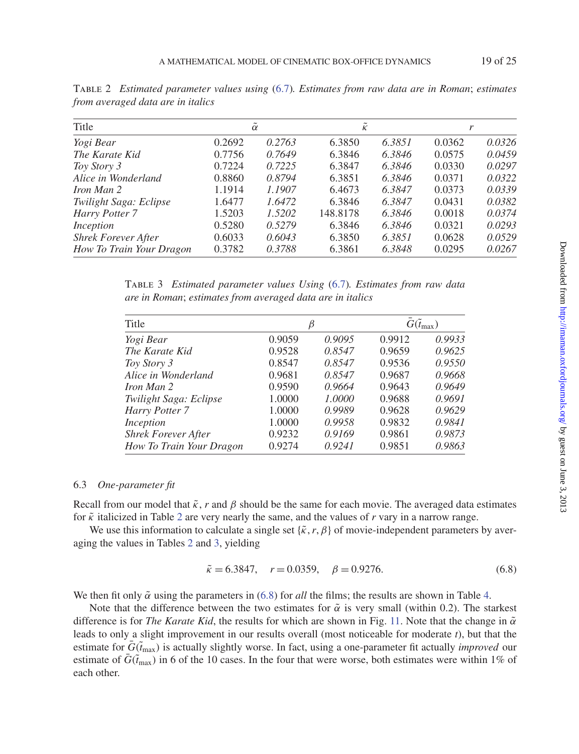| Title                      | $\alpha$ |        | $\overline{\mathcal{K}}$ |        | r      |        |
|----------------------------|----------|--------|--------------------------|--------|--------|--------|
| Yogi Bear                  | 0.2692   | 0.2763 | 6.3850                   | 6.3851 | 0.0362 | 0.0326 |
| The Karate Kid             | 0.7756   | 0.7649 | 6.3846                   | 6.3846 | 0.0575 | 0.0459 |
| Toy Story 3                | 0.7224   | 0.7225 | 6.3847                   | 6.3846 | 0.0330 | 0.0297 |
| Alice in Wonderland        | 0.8860   | 0.8794 | 6.3851                   | 6.3846 | 0.0371 | 0.0322 |
| <i>Iron Man 2</i>          | 1.1914   | 1.1907 | 6.4673                   | 6.3847 | 0.0373 | 0.0339 |
| Twilight Saga: Eclipse     | 1.6477   | 1.6472 | 6.3846                   | 6.3847 | 0.0431 | 0.0382 |
| Harry Potter 7             | 1.5203   | 1.5202 | 148.8178                 | 6.3846 | 0.0018 | 0.0374 |
| Inception                  | 0.5280   | 0.5279 | 6.3846                   | 6.3846 | 0.0321 | 0.0293 |
| <b>Shrek Forever After</b> | 0.6033   | 0.6043 | 6.3850                   | 6.3851 | 0.0628 | 0.0529 |
| How To Train Your Dragon   | 0.3782   | 0.3788 | 6.3861                   | 6.3848 | 0.0295 | 0.0267 |

<span id="page-18-0"></span>Table 2 *Estimated parameter values using* [\(6.7\)](#page-17-1)*. Estimates from raw data are in Roman*; *estimates from averaged data are in italics*

<span id="page-18-1"></span>Table 3 *Estimated parameter values Using* [\(6.7\)](#page-17-1)*. Estimates from raw data are in Roman*; *estimates from averaged data are in italics*

| Title                      | β      |        |        | $\bar{G}(\tilde{t}_{\max})$ |  |  |
|----------------------------|--------|--------|--------|-----------------------------|--|--|
| Yogi Bear                  | 0.9059 | 0.9095 | 0.9912 | 0.9933                      |  |  |
| The Karate Kid             | 0.9528 | 0.8547 | 0.9659 | 0.9625                      |  |  |
| Toy Story 3                | 0.8547 | 0.8547 | 0.9536 | 0.9550                      |  |  |
| Alice in Wonderland        | 0.9681 | 0.8547 | 0.9687 | 0.9668                      |  |  |
| <i>Iron Man 2</i>          | 0.9590 | 0.9664 | 0.9643 | 0.9649                      |  |  |
| Twilight Saga: Eclipse     | 1.0000 | 1.0000 | 0.9688 | 0.9691                      |  |  |
| Harry Potter 7             | 1.0000 | 0.9989 | 0.9628 | 0.9629                      |  |  |
| Inception                  | 1.0000 | 0.9958 | 0.9832 | 0.9841                      |  |  |
| <b>Shrek Forever After</b> | 0.9232 | 0.9169 | 0.9861 | 0.9873                      |  |  |
| How To Train Your Dragon   | 0.9274 | 0.9241 | 0.9851 | 0.9863                      |  |  |

# 6.3 *One-parameter fit*

Recall from our model that  $\tilde{\kappa}$ , *r* and  $\beta$  should be the same for each movie. The averaged data estimates for  $\tilde{\kappa}$  italicized in Table [2](#page-18-0) are very nearly the same, and the values of  $r$  vary in a narrow range.

We use this information to calculate a single set  $\{\tilde{\kappa}, r, \beta\}$  of movie-independent parameters by averaging the values in Tables [2](#page-18-0) and [3,](#page-18-1) yielding

<span id="page-18-2"></span>
$$
\tilde{\kappa} = 6.3847, \quad r = 0.0359, \quad \beta = 0.9276. \tag{6.8}
$$

We then fit only  $\tilde{\alpha}$  using the parameters in [\(6.8\)](#page-18-2) for *all* the films; the results are shown in Table [4.](#page-19-1)

Note that the difference between the two estimates for  $\tilde{\alpha}$  is very small (within 0.2). The starkest difference is for *The Karate Kid*, the results for which are shown in Fig. [11.](#page-20-0) Note that the change in  $\tilde{\alpha}$ leads to only a slight improvement in our results overall (most noticeable for moderate *t*), but that the estimate for  $\bar{G}(\tilde{t}_{max})$  is actually slightly worse. In fact, using a one-parameter fit actually *improved* our estimate of  $\tilde{G}(\tilde{t}_{\text{max}})$  in 6 of the 10 cases. In the four that were worse, both estimates were within 1% of each other.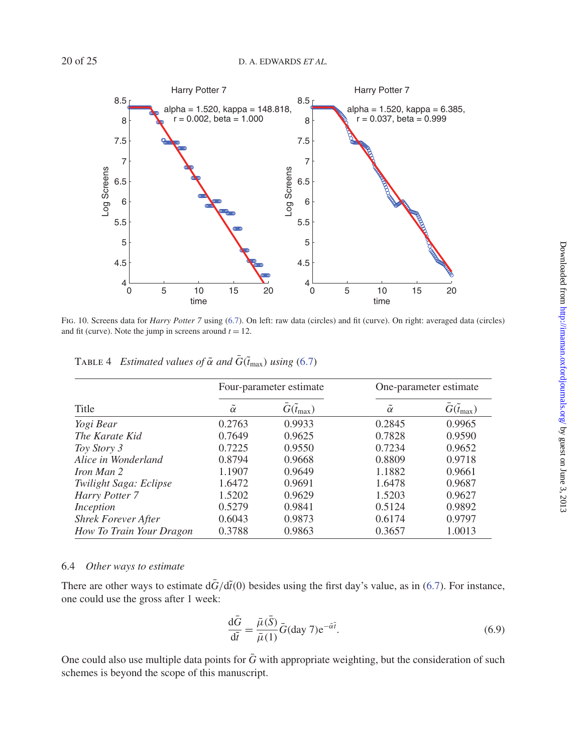

<span id="page-19-0"></span>Fig. 10. Screens data for *Harry Potter 7* using [\(6.7\)](#page-17-1). On left: raw data (circles) and fit (curve). On right: averaged data (circles) and fit (curve). Note the jump in screens around  $t = 12$ .

|                          |          | Four-parameter estimate     | One-parameter estimate |                             |  |
|--------------------------|----------|-----------------------------|------------------------|-----------------------------|--|
| Title                    | $\alpha$ | $\bar{G}(\tilde{t}_{\max})$ | $\alpha$               | $\bar{G}(\tilde{t}_{\max})$ |  |
| Yogi Bear                | 0.2763   | 0.9933                      | 0.2845                 | 0.9965                      |  |
| The Karate Kid           | 0.7649   | 0.9625                      | 0.7828                 | 0.9590                      |  |
| Toy Story 3              | 0.7225   | 0.9550                      | 0.7234                 | 0.9652                      |  |
| Alice in Wonderland      | 0.8794   | 0.9668                      | 0.8809                 | 0.9718                      |  |
| <i>Iron Man 2</i>        | 1.1907   | 0.9649                      | 1.1882                 | 0.9661                      |  |
| Twilight Saga: Eclipse   | 1.6472   | 0.9691                      | 1.6478                 | 0.9687                      |  |
| Harry Potter 7           | 1.5202   | 0.9629                      | 1.5203                 | 0.9627                      |  |
| Inception                | 0.5279   | 0.9841                      | 0.5124                 | 0.9892                      |  |
| Shrek Forever After      | 0.6043   | 0.9873                      | 0.6174                 | 0.9797                      |  |
| How To Train Your Dragon | 0.3788   | 0.9863                      | 0.3657                 | 1.0013                      |  |

<span id="page-19-1"></span>TABLE 4 *Estimated values of*  $\tilde{\alpha}$  *and*  $\bar{G}(\tilde{t}_{max})$  *using* [\(6.7\)](#page-17-1)

# 6.4 *Other ways to estimate*

There are other ways to estimate  $d\bar{G}/d\tilde{t}(0)$  besides using the first day's value, as in [\(6.7\)](#page-17-1). For instance, one could use the gross after 1 week:

<span id="page-19-2"></span>
$$
\frac{\mathrm{d}\bar{G}}{\mathrm{d}\tilde{t}} = \frac{\bar{\mu}(\bar{S})}{\bar{\mu}(1)}\bar{G}(\mathrm{day}\,7)\mathrm{e}^{-\tilde{\alpha}\tilde{t}}.\tag{6.9}
$$

One could also use multiple data points for  $\bar{G}$  with appropriate weighting, but the consideration of such schemes is beyond the scope of this manuscript.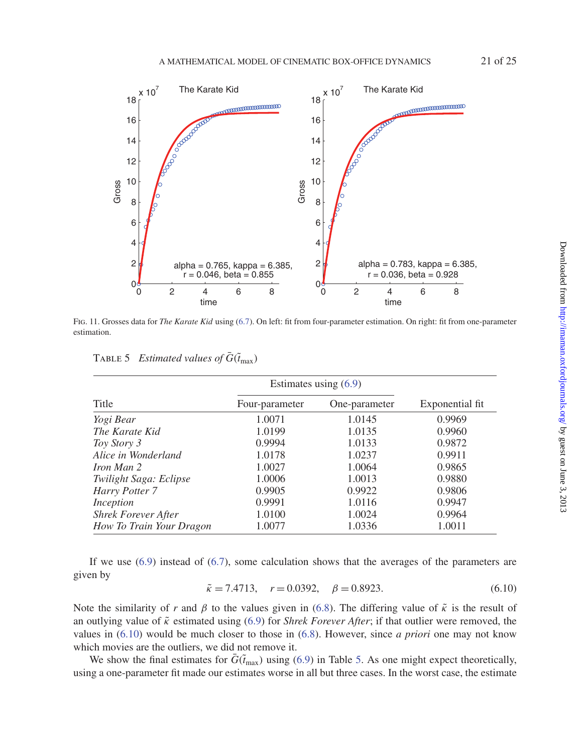

Fig. 11. Grosses data for *The Karate Kid* using [\(6.7\)](#page-17-1). On left: fit from four-parameter estimation. On right: fit from one-parameter estimation.

|                            | Estimates using $(6.9)$ |               |                 |  |
|----------------------------|-------------------------|---------------|-----------------|--|
| Title                      | Four-parameter          | One-parameter | Exponential fit |  |
| Yogi Bear                  | 1.0071                  | 1.0145        | 0.9969          |  |
| The Karate Kid             | 1.0199                  | 1.0135        | 0.9960          |  |
| Toy Story 3                | 0.9994                  | 1.0133        | 0.9872          |  |
| Alice in Wonderland        | 1.0178                  | 1.0237        | 0.9911          |  |
| Iron Man 2                 | 1.0027                  | 1.0064        | 0.9865          |  |
| Twilight Saga: Eclipse     | 1.0006                  | 1.0013        | 0.9880          |  |
| Harry Potter 7             | 0.9905                  | 0.9922        | 0.9806          |  |
| Inception                  | 0.9991                  | 1.0116        | 0.9947          |  |
| <b>Shrek Forever After</b> | 1.0100                  | 1.0024        | 0.9964          |  |
| How To Train Your Dragon   | 1.0077                  | 1.0336        | 1.0011          |  |

<span id="page-20-2"></span><span id="page-20-0"></span>TABLE 5 *Estimated values of*  $\bar{G}(\tilde{t}_{\text{max}})$ 

If we use  $(6.9)$  instead of  $(6.7)$ , some calculation shows that the averages of the parameters are given by

<span id="page-20-1"></span>
$$
\tilde{\kappa} = 7.4713, \quad r = 0.0392, \quad \beta = 0.8923.
$$
\n(6.10)

Note the similarity of *r* and  $\beta$  to the values given in [\(6.8\)](#page-18-2). The differing value of  $\tilde{\kappa}$  is the result of an outlying value of  $\tilde{\kappa}$  estimated using [\(6.9\)](#page-19-2) for *Shrek Forever After*; if that outlier were removed, the values in [\(6.10\)](#page-20-1) would be much closer to those in [\(6.8\)](#page-18-2). However, since *a priori* one may not know which movies are the outliers, we did not remove it.

We show the final estimates for  $\bar{G}(\tilde{t}_{\text{max}})$  using [\(6.9\)](#page-19-2) in Table [5.](#page-20-2) As one might expect theoretically, using a one-parameter fit made our estimates worse in all but three cases. In the worst case, the estimate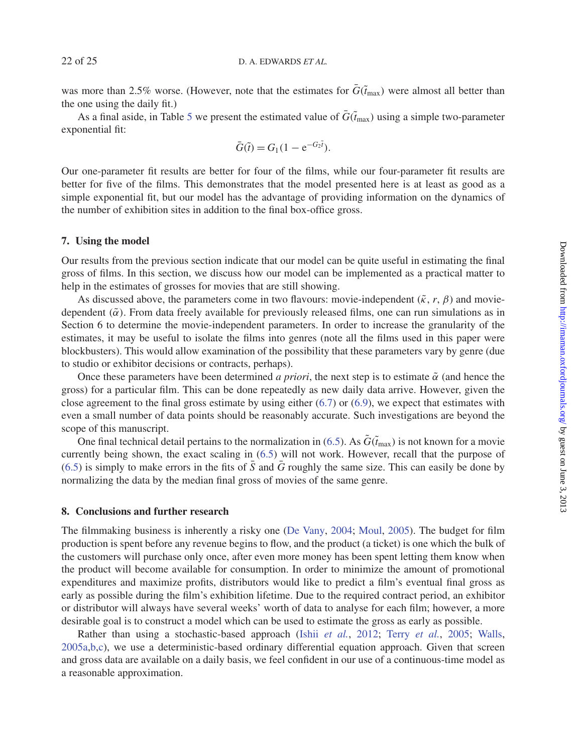was more than 2.5% worse. (However, note that the estimates for  $\bar{G}(\tilde{t}_{\text{max}})$  were almost all better than the one using the daily fit.)

As a final aside, in Table [5](#page-20-2) we present the estimated value of  $\bar{G}(\tilde{t}_{max})$  using a simple two-parameter exponential fit:

$$
\bar{G}(\tilde{t}) = G_1(1 - e^{-G_2\tilde{t}}).
$$

Our one-parameter fit results are better for four of the films, while our four-parameter fit results are better for five of the films. This demonstrates that the model presented here is at least as good as a simple exponential fit, but our model has the advantage of providing information on the dynamics of the number of exhibition sites in addition to the final box-office gross.

### **7. Using the model**

Our results from the previous section indicate that our model can be quite useful in estimating the final gross of films. In this section, we discuss how our model can be implemented as a practical matter to help in the estimates of grosses for movies that are still showing.

As discussed above, the parameters come in two flavours: movie-independent  $(\tilde{\kappa}, r, \beta)$  and moviedependent  $(\tilde{\alpha})$ . From data freely available for previously released films, one can run simulations as in Section 6 to determine the movie-independent parameters. In order to increase the granularity of the estimates, it may be useful to isolate the films into genres (note all the films used in this paper were blockbusters). This would allow examination of the possibility that these parameters vary by genre (due to studio or exhibitor decisions or contracts, perhaps).

Once these parameters have been determined *a priori*, the next step is to estimate  $\tilde{\alpha}$  (and hence the gross) for a particular film. This can be done repeatedly as new daily data arrive. However, given the close agreement to the final gross estimate by using either  $(6.7)$  or  $(6.9)$ , we expect that estimates with even a small number of data points should be reasonably accurate. Such investigations are beyond the scope of this manuscript.

One final technical detail pertains to the normalization in [\(6.5\)](#page-17-0). As  $\tilde{G}(\tilde{t}_{max})$  is not known for a movie currently being shown, the exact scaling in [\(6.5\)](#page-17-0) will not work. However, recall that the purpose of [\(6.5\)](#page-17-0) is simply to make errors in the fits of  $\bar{S}$  and  $\bar{G}$  roughly the same size. This can easily be done by normalizing the data by the median final gross of movies of the same genre.

### **8. Conclusions and further research**

The filmmaking business is inherently a risky one [\(De Vany,](#page-22-3) [2004](#page-22-3); [Moul,](#page-23-30) [2005](#page-23-30)). The budget for film production is spent before any revenue begins to flow, and the product (a ticket) is one which the bulk of the customers will purchase only once, after even more money has been spent letting them know when the product will become available for consumption. In order to minimize the amount of promotional expenditures and maximize profits, distributors would like to predict a film's eventual final gross as early as possible during the film's exhibition lifetime. Due to the required contract period, an exhibitor or distributor will always have several weeks' worth of data to analyse for each film; however, a more desirable goal is to construct a model which can be used to estimate the gross as early as possible.

Rather than using a stochastic-based approach (Ishii *[et al.](#page-23-16)*, [2012](#page-23-16); Terry *[et al.](#page-23-18)*, [2005;](#page-23-18) [Walls,](#page-23-6) [2005a](#page-23-6)[,b](#page-24-1)[,c\)](#page-24-2), we use a deterministic-based ordinary differential equation approach. Given that screen and gross data are available on a daily basis, we feel confident in our use of a continuous-time model as a reasonable approximation.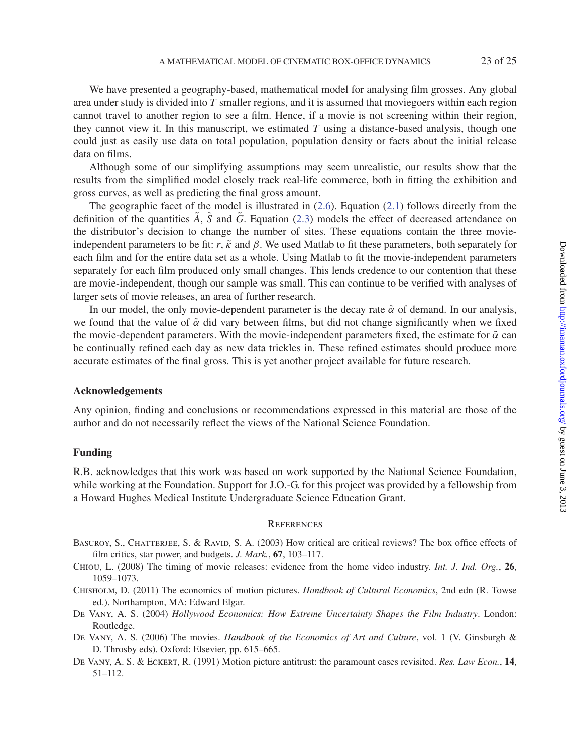We have presented a geography-based, mathematical model for analysing film grosses. Any global area under study is divided into *T* smaller regions, and it is assumed that moviegoers within each region cannot travel to another region to see a film. Hence, if a movie is not screening within their region, they cannot view it. In this manuscript, we estimated *T* using a distance-based analysis, though one could just as easily use data on total population, population density or facts about the initial release data on films.

Although some of our simplifying assumptions may seem unrealistic, our results show that the results from the simplified model closely track real-life commerce, both in fitting the exhibition and gross curves, as well as predicting the final gross amount.

The geographic facet of the model is illustrated in  $(2.6)$ . Equation  $(2.1)$  follows directly from the definition of the quantities *A*, *S* and *G*. Equation [\(2.3\)](#page-3-2) models the effect of decreased attendance on the distributor's decision to change the number of sites. These equations contain the three movieindependent parameters to be fit: *r*,  $\tilde{\kappa}$  and  $\beta$ . We used Matlab to fit these parameters, both separately for each film and for the entire data set as a whole. Using Matlab to fit the movie-independent parameters separately for each film produced only small changes. This lends credence to our contention that these are movie-independent, though our sample was small. This can continue to be verified with analyses of larger sets of movie releases, an area of further research.

In our model, the only movie-dependent parameter is the decay rate  $\tilde{\alpha}$  of demand. In our analysis, we found that the value of  $\tilde{\alpha}$  did vary between films, but did not change significantly when we fixed the movie-dependent parameters. With the movie-independent parameters fixed, the estimate for  $\tilde{\alpha}$  can be continually refined each day as new data trickles in. These refined estimates should produce more accurate estimates of the final gross. This is yet another project available for future research.

### **Acknowledgements**

Any opinion, finding and conclusions or recommendations expressed in this material are those of the author and do not necessarily reflect the views of the National Science Foundation.

#### **Funding**

R.B. acknowledges that this work was based on work supported by the National Science Foundation, while working at the Foundation. Support for J.O.-G. for this project was provided by a fellowship from a Howard Hughes Medical Institute Undergraduate Science Education Grant.

#### **REFERENCES**

- <span id="page-22-4"></span>BASUROY, S., CHATTERJEE, S. & RAVID, S. A. (2003) How critical are critical reviews? The box office effects of film critics, star power, and budgets. *J. Mark.*, **67**, 103–117.
- <span id="page-22-5"></span>Chiou, L. (2008) The timing of movie releases: evidence from the home video industry. *Int. J. Ind. Org.*, **26**, 1059–1073.
- <span id="page-22-1"></span>Chisholm, D. (2011) The economics of motion pictures. *Handbook of Cultural Economics*, 2nd edn (R. Towse ed.). Northampton, MA: Edward Elgar.
- <span id="page-22-3"></span>De Vany, A. S. (2004) *Hollywood Economics: How Extreme Uncertainty Shapes the Film Industry*. London: Routledge.
- <span id="page-22-0"></span>De Vany, A. S. (2006) The movies. *Handbook of the Economics of Art and Culture*, vol. 1 (V. Ginsburgh & D. Throsby eds). Oxford: Elsevier, pp. 615–665.
- <span id="page-22-2"></span>De Vany, A. S. & Eckert, R. (1991) Motion picture antitrust: the paramount cases revisited. *Res. Law Econ.*, **14**, 51–112.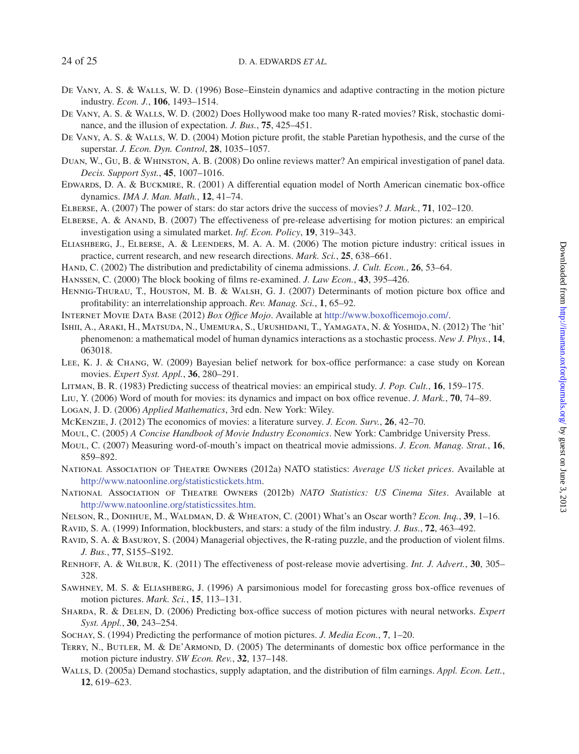- <span id="page-23-3"></span>De Vany, A. S. & Walls, W. D. (1996) Bose–Einstein dynamics and adaptive contracting in the motion picture industry. *Econ. J.*, **106**, 1493–1514.
- <span id="page-23-4"></span>De Vany, A. S. & Walls, W. D. (2002) Does Hollywood make too many R-rated movies? Risk, stochastic dominance, and the illusion of expectation. *J. Bus.*, **75**, 425–451.
- <span id="page-23-5"></span>De Vany, A. S. & Walls, W. D. (2004) Motion picture profit, the stable Paretian hypothesis, and the curse of the superstar. *J. Econ. Dyn. Control*, **28**, 1035–1057.
- <span id="page-23-10"></span>Duan, W., Gu, B. & Whinston, A. B. (2008) Do online reviews matter? An empirical investigation of panel data. *Decis. Support Syst.*, **45**, 1007–1016.
- <span id="page-23-0"></span>Edwards, D. A. & Buckmire, R. (2001) A differential equation model of North American cinematic box-office dynamics. *IMA J. Man. Math.*, **12**, 41–74.
- <span id="page-23-13"></span>Elberse, A. (2007) The power of stars: do star actors drive the success of movies? *J. Mark.*, **71**, 102–120.
- <span id="page-23-7"></span>Elberse, A. & Anand, B. (2007) The effectiveness of pre-release advertising for motion pictures: an empirical investigation using a simulated market. *Inf. Econ. Policy*, **19**, 319–343.
- <span id="page-23-2"></span>Eliashberg, J., Elberse, A. & Leenders, M. A. A. M. (2006) The motion picture industry: critical issues in practice, current research, and new research directions. *Mark. Sci.*, **25**, 638–661.
- <span id="page-23-15"></span>Hand, C. (2002) The distribution and predictability of cinema admissions. *J. Cult. Econ.*, **26**, 53–64.
- <span id="page-23-26"></span>Hanssen, C. (2000) The block booking of films re-examined. *J. Law Econ.*, **43**, 395–426.
- <span id="page-23-20"></span>Hennig-Thurau, T., Houston, M. B. & Walsh, G. J. (2007) Determinants of motion picture box office and profitability: an interrelationship approach. *Rev. Manag. Sci.*, **1**, 65–92.

<span id="page-23-25"></span>Internet Movie Data Base (2012) *Box Office Mojo*. Available at [http://www.boxofficemojo.com/.](http://www.boxofficemojo.com/)

- <span id="page-23-16"></span>Ishii, A., Araki, H., Matsuda, N., Umemura, S., Urushidani, T., Yamagata, N. & Yoshida, N. (2012) The 'hit' phenomenon: a mathematical model of human dynamics interactions as a stochastic process. *New J. Phys.*, **14**, 063018.
- <span id="page-23-21"></span>Lee, K. J. & Chang, W. (2009) Bayesian belief network for box-office performance: a case study on Korean movies. *Expert Syst. Appl.*, **36**, 280–291.
- <span id="page-23-19"></span>Litman, B. R. (1983) Predicting success of theatrical movies: an empirical study. *J. Pop. Cult.*, **16**, 159–175.
- <span id="page-23-11"></span>Liu, Y. (2006) Word of mouth for movies: its dynamics and impact on box office revenue. *J. Mark.*, **70**, 74–89.
- <span id="page-23-27"></span>Logan, J. D. (2006) *Applied Mathematics*, 3rd edn. New York: Wiley.
- <span id="page-23-1"></span>McKenzie, J. (2012) The economics of movies: a literature survey. *J. Econ. Surv.*, **26**, 42–70.
- <span id="page-23-30"></span>Moul, C. (2005) *A Concise Handbook of Movie Industry Economics*. New York: Cambridge University Press.
- <span id="page-23-12"></span>Moul, C. (2007) Measuring word-of-mouth's impact on theatrical movie admissions. *J. Econ. Manag. Strat.*, **16**, 859–892.
- <span id="page-23-29"></span>National Association of Theatre Owners (2012a) NATO statistics: *Average US ticket prices*. Available at [http://www.natoonline.org/statisticstickets.htm.](http://www.natoonline.org/statisticstickets.htm)
- <span id="page-23-28"></span>National Association of Theatre Owners (2012b) *NATO Statistics: US Cinema Sites*. Available at [http://www.natoonline.org/statisticssites.htm.](http://www.natoonline.org/statisticssites.htm)
- <span id="page-23-14"></span>Nelson, R., Donihue, M., Waldman, D. & Wheaton, C. (2001) What's an Oscar worth? *Econ. Inq.*, **39**, 1–16.
- <span id="page-23-17"></span>Ravid, S. A. (1999) Information, blockbusters, and stars: a study of the film industry. *J. Bus.*, **72**, 463–492.
- <span id="page-23-9"></span>RAVID, S. A. & BASUROY, S. (2004) Managerial objectives, the R-rating puzzle, and the production of violent films. *J. Bus.*, **77**, S155–S192.
- <span id="page-23-8"></span>Renhoff, A. & Wilbur, K. (2011) The effectiveness of post-release movie advertising. *Int. J. Advert.*, **30**, 305– 328.
- <span id="page-23-22"></span>Sawhney, M. S. & Eliashberg, J. (1996) A parsimonious model for forecasting gross box-office revenues of motion pictures. *Mark. Sci.*, **15**, 113–131.
- <span id="page-23-23"></span>Sharda, R. & Delen, D. (2006) Predicting box-office success of motion pictures with neural networks. *Expert Syst. Appl.*, **30**, 243–254.
- <span id="page-23-24"></span>Sochay, S. (1994) Predicting the performance of motion pictures. *J. Media Econ.*, **7**, 1–20.
- <span id="page-23-18"></span>TERRY, N., BUTLER, M. & DE'ARMOND, D. (2005) The determinants of domestic box office performance in the motion picture industry. *SW Econ. Rev.*, **32**, 137–148.
- <span id="page-23-6"></span>WALLS, D. (2005a) Demand stochastics, supply adaptation, and the distribution of film earnings. *Appl. Econ. Lett.*, **12**, 619–623.